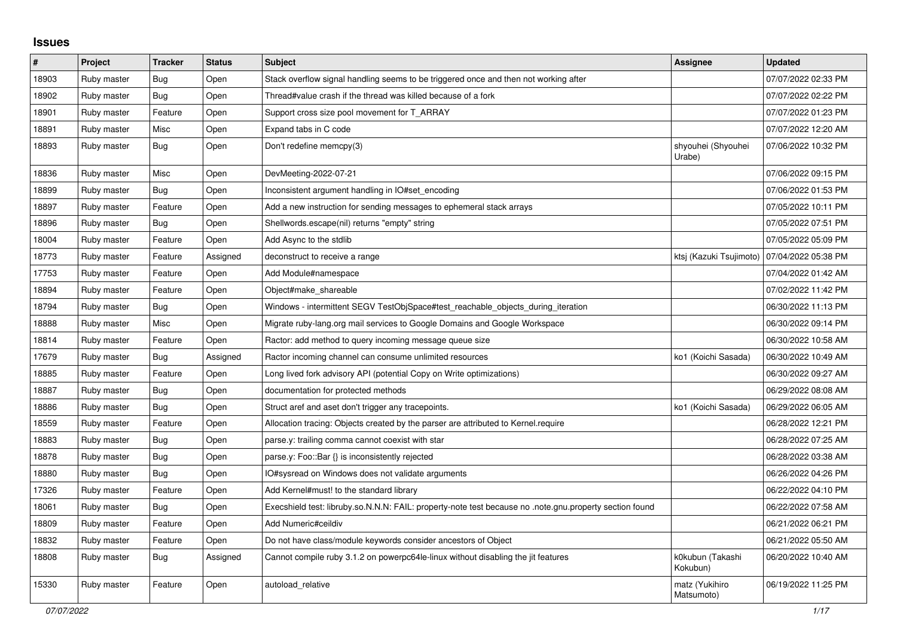## **Issues**

| #     | Project     | <b>Tracker</b> | <b>Status</b> | <b>Subject</b>                                                                                                          | Assignee                     | <b>Updated</b>      |
|-------|-------------|----------------|---------------|-------------------------------------------------------------------------------------------------------------------------|------------------------------|---------------------|
| 18903 | Ruby master | <b>Bug</b>     | Open          | Stack overflow signal handling seems to be triggered once and then not working after                                    |                              | 07/07/2022 02:33 PM |
| 18902 | Ruby master | Bug            | Open          | Thread#value crash if the thread was killed because of a fork                                                           |                              | 07/07/2022 02:22 PM |
| 18901 | Ruby master | Feature        | Open          | Support cross size pool movement for T ARRAY                                                                            |                              | 07/07/2022 01:23 PM |
| 18891 | Ruby master | Misc           | Open          | Expand tabs in C code                                                                                                   |                              | 07/07/2022 12:20 AM |
| 18893 | Ruby master | Bug            | Open          | Don't redefine memcpy(3)                                                                                                | shyouhei (Shyouhei<br>Urabe) | 07/06/2022 10:32 PM |
| 18836 | Ruby master | Misc           | Open          | DevMeeting-2022-07-21                                                                                                   |                              | 07/06/2022 09:15 PM |
| 18899 | Ruby master | Bug            | Open          | Inconsistent argument handling in IO#set_encoding                                                                       |                              | 07/06/2022 01:53 PM |
| 18897 | Ruby master | Feature        | Open          | Add a new instruction for sending messages to ephemeral stack arrays                                                    |                              | 07/05/2022 10:11 PM |
| 18896 | Ruby master | Bug            | Open          | Shellwords.escape(nil) returns "empty" string                                                                           |                              | 07/05/2022 07:51 PM |
| 18004 | Ruby master | Feature        | Open          | Add Async to the stdlib                                                                                                 |                              | 07/05/2022 05:09 PM |
| 18773 | Ruby master | Feature        | Assigned      | deconstruct to receive a range                                                                                          | ktsj (Kazuki Tsujimoto)      | 07/04/2022 05:38 PM |
| 17753 | Ruby master | Feature        | Open          | Add Module#namespace                                                                                                    |                              | 07/04/2022 01:42 AM |
| 18894 | Ruby master | Feature        | Open          | Object#make_shareable                                                                                                   |                              | 07/02/2022 11:42 PM |
| 18794 | Ruby master | Bug            | Open          | Windows - intermittent SEGV TestObjSpace#test reachable objects during iteration                                        |                              | 06/30/2022 11:13 PM |
| 18888 | Ruby master | Misc           | Open          | Migrate ruby-lang.org mail services to Google Domains and Google Workspace                                              |                              | 06/30/2022 09:14 PM |
| 18814 | Ruby master | Feature        | Open          | Ractor: add method to query incoming message queue size                                                                 |                              | 06/30/2022 10:58 AM |
| 17679 | Ruby master | <b>Bug</b>     | Assigned      | Ractor incoming channel can consume unlimited resources                                                                 | ko1 (Koichi Sasada)          | 06/30/2022 10:49 AM |
| 18885 | Ruby master | Feature        | Open          | Long lived fork advisory API (potential Copy on Write optimizations)                                                    |                              | 06/30/2022 09:27 AM |
| 18887 | Ruby master | <b>Bug</b>     | Open          | documentation for protected methods                                                                                     |                              | 06/29/2022 08:08 AM |
| 18886 | Ruby master | <b>Bug</b>     | Open          | Struct aref and aset don't trigger any tracepoints.                                                                     | ko1 (Koichi Sasada)          | 06/29/2022 06:05 AM |
| 18559 | Ruby master | Feature        | Open          | Allocation tracing: Objects created by the parser are attributed to Kernel.require                                      |                              | 06/28/2022 12:21 PM |
| 18883 | Ruby master | Bug            | Open          | parse.y: trailing comma cannot coexist with star                                                                        |                              | 06/28/2022 07:25 AM |
| 18878 | Ruby master | <b>Bug</b>     | Open          | parse.y: Foo::Bar {} is inconsistently rejected                                                                         |                              | 06/28/2022 03:38 AM |
| 18880 | Ruby master | Bug            | Open          | O#sysread on Windows does not validate arguments                                                                        |                              | 06/26/2022 04:26 PM |
| 17326 | Ruby master | Feature        | Open          | Add Kernel#must! to the standard library                                                                                |                              | 06/22/2022 04:10 PM |
| 18061 | Ruby master | Bug            | Open          | note.gnu.property section found four only. So.N.N: FAIL: property-note test because no .note.gnu.property section found |                              | 06/22/2022 07:58 AM |
| 18809 | Ruby master | Feature        | Open          | Add Numeric#ceildiv                                                                                                     |                              | 06/21/2022 06:21 PM |
| 18832 | Ruby master | Feature        | Open          | Do not have class/module keywords consider ancestors of Object                                                          |                              | 06/21/2022 05:50 AM |
| 18808 | Ruby master | Bug            | Assigned      | Cannot compile ruby 3.1.2 on powerpc64le-linux without disabling the jit features                                       | k0kubun (Takashi<br>Kokubun) | 06/20/2022 10:40 AM |
| 15330 | Ruby master | Feature        | Open          | autoload_relative                                                                                                       | matz (Yukihiro<br>Matsumoto) | 06/19/2022 11:25 PM |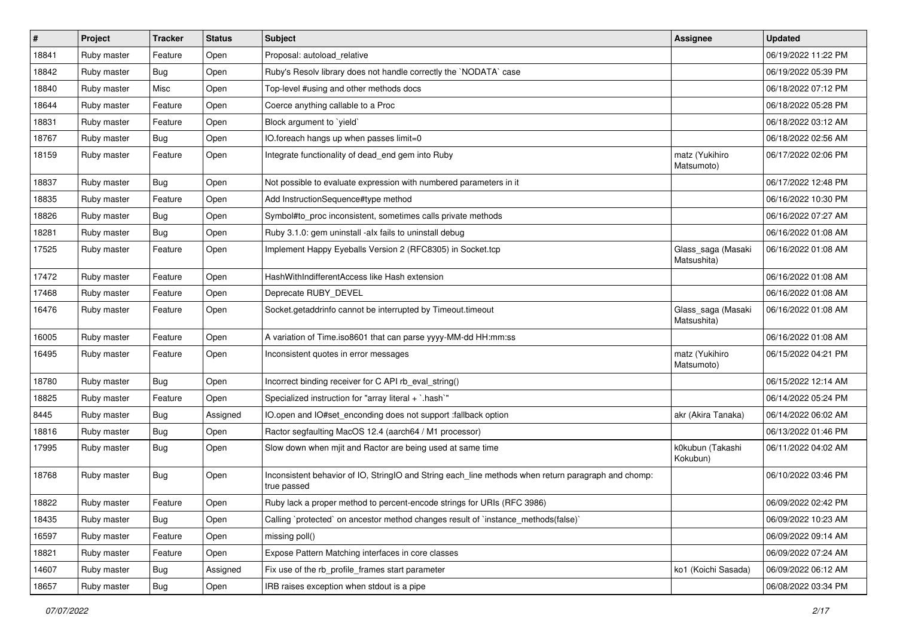| $\vert$ # | Project     | <b>Tracker</b> | <b>Status</b> | Subject                                                                                                            | <b>Assignee</b>                   | <b>Updated</b>      |
|-----------|-------------|----------------|---------------|--------------------------------------------------------------------------------------------------------------------|-----------------------------------|---------------------|
| 18841     | Ruby master | Feature        | Open          | Proposal: autoload_relative                                                                                        |                                   | 06/19/2022 11:22 PM |
| 18842     | Ruby master | Bug            | Open          | Ruby's Resolv library does not handle correctly the `NODATA` case                                                  |                                   | 06/19/2022 05:39 PM |
| 18840     | Ruby master | Misc           | Open          | Top-level #using and other methods docs                                                                            |                                   | 06/18/2022 07:12 PM |
| 18644     | Ruby master | Feature        | Open          | Coerce anything callable to a Proc                                                                                 |                                   | 06/18/2022 05:28 PM |
| 18831     | Ruby master | Feature        | Open          | Block argument to 'yield'                                                                                          |                                   | 06/18/2022 03:12 AM |
| 18767     | Ruby master | <b>Bug</b>     | Open          | IO.foreach hangs up when passes limit=0                                                                            |                                   | 06/18/2022 02:56 AM |
| 18159     | Ruby master | Feature        | Open          | Integrate functionality of dead_end gem into Ruby                                                                  | matz (Yukihiro<br>Matsumoto)      | 06/17/2022 02:06 PM |
| 18837     | Ruby master | <b>Bug</b>     | Open          | Not possible to evaluate expression with numbered parameters in it                                                 |                                   | 06/17/2022 12:48 PM |
| 18835     | Ruby master | Feature        | Open          | Add InstructionSequence#type method                                                                                |                                   | 06/16/2022 10:30 PM |
| 18826     | Ruby master | <b>Bug</b>     | Open          | Symbol#to_proc inconsistent, sometimes calls private methods                                                       |                                   | 06/16/2022 07:27 AM |
| 18281     | Ruby master | <b>Bug</b>     | Open          | Ruby 3.1.0: gem uninstall -alx fails to uninstall debug                                                            |                                   | 06/16/2022 01:08 AM |
| 17525     | Ruby master | Feature        | Open          | Implement Happy Eyeballs Version 2 (RFC8305) in Socket.tcp                                                         | Glass_saga (Masaki<br>Matsushita) | 06/16/2022 01:08 AM |
| 17472     | Ruby master | Feature        | Open          | HashWithIndifferentAccess like Hash extension                                                                      |                                   | 06/16/2022 01:08 AM |
| 17468     | Ruby master | Feature        | Open          | Deprecate RUBY_DEVEL                                                                                               |                                   | 06/16/2022 01:08 AM |
| 16476     | Ruby master | Feature        | Open          | Socket.getaddrinfo cannot be interrupted by Timeout.timeout                                                        | Glass_saga (Masaki<br>Matsushita) | 06/16/2022 01:08 AM |
| 16005     | Ruby master | Feature        | Open          | A variation of Time.iso8601 that can parse yyyy-MM-dd HH:mm:ss                                                     |                                   | 06/16/2022 01:08 AM |
| 16495     | Ruby master | Feature        | Open          | Inconsistent quotes in error messages                                                                              | matz (Yukihiro<br>Matsumoto)      | 06/15/2022 04:21 PM |
| 18780     | Ruby master | <b>Bug</b>     | Open          | Incorrect binding receiver for C API rb_eval_string()                                                              |                                   | 06/15/2022 12:14 AM |
| 18825     | Ruby master | Feature        | Open          | Specialized instruction for "array literal + `.hash`"                                                              |                                   | 06/14/2022 05:24 PM |
| 8445      | Ruby master | <b>Bug</b>     | Assigned      | IO.open and IO#set_enconding does not support :fallback option                                                     | akr (Akira Tanaka)                | 06/14/2022 06:02 AM |
| 18816     | Ruby master | <b>Bug</b>     | Open          | Ractor segfaulting MacOS 12.4 (aarch64 / M1 processor)                                                             |                                   | 06/13/2022 01:46 PM |
| 17995     | Ruby master | Bug            | Open          | Slow down when mjit and Ractor are being used at same time                                                         | k0kubun (Takashi<br>Kokubun)      | 06/11/2022 04:02 AM |
| 18768     | Ruby master | <b>Bug</b>     | Open          | Inconsistent behavior of IO, StringIO and String each_line methods when return paragraph and chomp:<br>true passed |                                   | 06/10/2022 03:46 PM |
| 18822     | Ruby master | Feature        | Open          | Ruby lack a proper method to percent-encode strings for URIs (RFC 3986)                                            |                                   | 06/09/2022 02:42 PM |
| 18435     | Ruby master | Bug            | Open          | Calling `protected` on ancestor method changes result of `instance_methods(false)`                                 |                                   | 06/09/2022 10:23 AM |
| 16597     | Ruby master | Feature        | Open          | missing poll()                                                                                                     |                                   | 06/09/2022 09:14 AM |
| 18821     | Ruby master | Feature        | Open          | Expose Pattern Matching interfaces in core classes                                                                 |                                   | 06/09/2022 07:24 AM |
| 14607     | Ruby master | <b>Bug</b>     | Assigned      | Fix use of the rb_profile_frames start parameter                                                                   | ko1 (Koichi Sasada)               | 06/09/2022 06:12 AM |
| 18657     | Ruby master | <b>Bug</b>     | Open          | IRB raises exception when stdout is a pipe                                                                         |                                   | 06/08/2022 03:34 PM |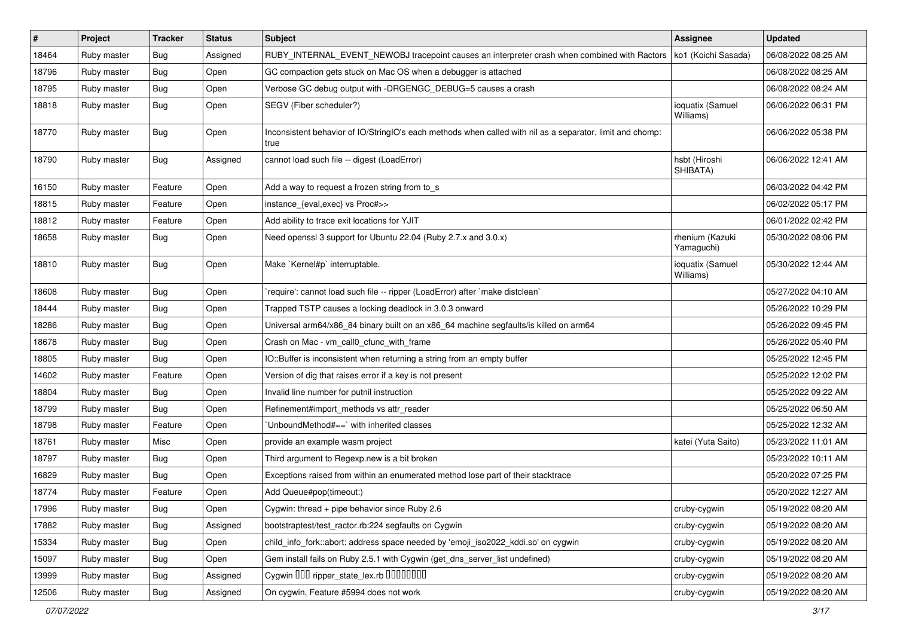| #     | Project     | <b>Tracker</b> | <b>Status</b> | Subject                                                                                                           | <b>Assignee</b>               | <b>Updated</b>      |
|-------|-------------|----------------|---------------|-------------------------------------------------------------------------------------------------------------------|-------------------------------|---------------------|
| 18464 | Ruby master | Bug            | Assigned      | RUBY_INTERNAL_EVENT_NEWOBJ tracepoint causes an interpreter crash when combined with Ractors                      | ko1 (Koichi Sasada)           | 06/08/2022 08:25 AM |
| 18796 | Ruby master | <b>Bug</b>     | Open          | GC compaction gets stuck on Mac OS when a debugger is attached                                                    |                               | 06/08/2022 08:25 AM |
| 18795 | Ruby master | <b>Bug</b>     | Open          | Verbose GC debug output with -DRGENGC_DEBUG=5 causes a crash                                                      |                               | 06/08/2022 08:24 AM |
| 18818 | Ruby master | <b>Bug</b>     | Open          | SEGV (Fiber scheduler?)                                                                                           | ioquatix (Samuel<br>Williams) | 06/06/2022 06:31 PM |
| 18770 | Ruby master | <b>Bug</b>     | Open          | Inconsistent behavior of IO/StringIO's each methods when called with nil as a separator, limit and chomp:<br>true |                               | 06/06/2022 05:38 PM |
| 18790 | Ruby master | Bug            | Assigned      | cannot load such file -- digest (LoadError)                                                                       | hsbt (Hiroshi<br>SHIBATA)     | 06/06/2022 12:41 AM |
| 16150 | Ruby master | Feature        | Open          | Add a way to request a frozen string from to_s                                                                    |                               | 06/03/2022 04:42 PM |
| 18815 | Ruby master | Feature        | Open          | instance_{eval,exec} vs Proc#>>                                                                                   |                               | 06/02/2022 05:17 PM |
| 18812 | Ruby master | Feature        | Open          | Add ability to trace exit locations for YJIT                                                                      |                               | 06/01/2022 02:42 PM |
| 18658 | Ruby master | <b>Bug</b>     | Open          | Need openssl 3 support for Ubuntu 22.04 (Ruby 2.7.x and 3.0.x)                                                    | rhenium (Kazuki<br>Yamaguchi) | 05/30/2022 08:06 PM |
| 18810 | Ruby master | Bug            | Open          | Make `Kernel#p` interruptable.                                                                                    | ioquatix (Samuel<br>Williams) | 05/30/2022 12:44 AM |
| 18608 | Ruby master | Bug            | Open          | require': cannot load such file -- ripper (LoadError) after `make distclean`                                      |                               | 05/27/2022 04:10 AM |
| 18444 | Ruby master | <b>Bug</b>     | Open          | Trapped TSTP causes a locking deadlock in 3.0.3 onward                                                            |                               | 05/26/2022 10:29 PM |
| 18286 | Ruby master | <b>Bug</b>     | Open          | Universal arm64/x86_84 binary built on an x86_64 machine segfaults/is killed on arm64                             |                               | 05/26/2022 09:45 PM |
| 18678 | Ruby master | Bug            | Open          | Crash on Mac - vm_call0_cfunc_with_frame                                                                          |                               | 05/26/2022 05:40 PM |
| 18805 | Ruby master | Bug            | Open          | IO::Buffer is inconsistent when returning a string from an empty buffer                                           |                               | 05/25/2022 12:45 PM |
| 14602 | Ruby master | Feature        | Open          | Version of dig that raises error if a key is not present                                                          |                               | 05/25/2022 12:02 PM |
| 18804 | Ruby master | <b>Bug</b>     | Open          | Invalid line number for putnil instruction                                                                        |                               | 05/25/2022 09:22 AM |
| 18799 | Ruby master | Bug            | Open          | Refinement#import_methods vs attr_reader                                                                          |                               | 05/25/2022 06:50 AM |
| 18798 | Ruby master | Feature        | Open          | UnboundMethod#==`with inherited classes                                                                           |                               | 05/25/2022 12:32 AM |
| 18761 | Ruby master | Misc           | Open          | provide an example wasm project                                                                                   | katei (Yuta Saito)            | 05/23/2022 11:01 AM |
| 18797 | Ruby master | <b>Bug</b>     | Open          | Third argument to Regexp.new is a bit broken                                                                      |                               | 05/23/2022 10:11 AM |
| 16829 | Ruby master | <b>Bug</b>     | Open          | Exceptions raised from within an enumerated method lose part of their stacktrace                                  |                               | 05/20/2022 07:25 PM |
| 18774 | Ruby master | Feature        | Open          | Add Queue#pop(timeout:)                                                                                           |                               | 05/20/2022 12:27 AM |
| 17996 | Ruby master | Bug            | Open          | Cygwin: thread $+$ pipe behavior since Ruby 2.6                                                                   | cruby-cygwin                  | 05/19/2022 08:20 AM |
| 17882 | Ruby master | <b>Bug</b>     | Assigned      | bootstraptest/test_ractor.rb:224 segfaults on Cygwin                                                              | cruby-cygwin                  | 05/19/2022 08:20 AM |
| 15334 | Ruby master | <b>Bug</b>     | Open          | child_info_fork::abort: address space needed by 'emoji_iso2022_kddi.so' on cygwin                                 | cruby-cygwin                  | 05/19/2022 08:20 AM |
| 15097 | Ruby master | Bug            | Open          | Gem install fails on Ruby 2.5.1 with Cygwin (get_dns_server_list undefined)                                       | cruby-cygwin                  | 05/19/2022 08:20 AM |
| 13999 | Ruby master | <b>Bug</b>     | Assigned      | Cygwin 000 ripper_state_lex.rb 0000000                                                                            | cruby-cygwin                  | 05/19/2022 08:20 AM |
| 12506 | Ruby master | Bug            | Assigned      | On cygwin, Feature #5994 does not work                                                                            | cruby-cygwin                  | 05/19/2022 08:20 AM |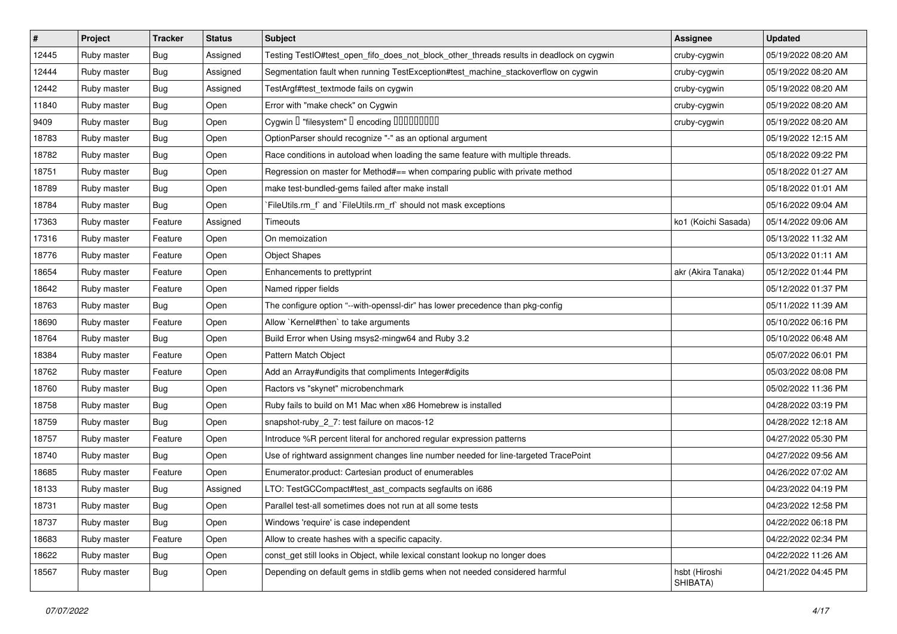| $\vert$ # | Project     | <b>Tracker</b> | <b>Status</b> | Subject                                                                                  | <b>Assignee</b>           | <b>Updated</b>      |
|-----------|-------------|----------------|---------------|------------------------------------------------------------------------------------------|---------------------------|---------------------|
| 12445     | Ruby master | Bug            | Assigned      | Testing TestIO#test_open_fifo_does_not_block_other_threads results in deadlock on cygwin | cruby-cygwin              | 05/19/2022 08:20 AM |
| 12444     | Ruby master | Bug            | Assigned      | Segmentation fault when running TestException#test_machine_stackoverflow on cygwin       | cruby-cygwin              | 05/19/2022 08:20 AM |
| 12442     | Ruby master | <b>Bug</b>     | Assigned      | TestArgf#test_textmode fails on cygwin                                                   | cruby-cygwin              | 05/19/2022 08:20 AM |
| 11840     | Ruby master | Bug            | Open          | Error with "make check" on Cygwin                                                        | cruby-cygwin              | 05/19/2022 08:20 AM |
| 9409      | Ruby master | Bug            | Open          | Cygwin I "filesystem" I encoding IIIIIIIIIIIII                                           | cruby-cygwin              | 05/19/2022 08:20 AM |
| 18783     | Ruby master | <b>Bug</b>     | Open          | OptionParser should recognize "-" as an optional argument                                |                           | 05/19/2022 12:15 AM |
| 18782     | Ruby master | <b>Bug</b>     | Open          | Race conditions in autoload when loading the same feature with multiple threads.         |                           | 05/18/2022 09:22 PM |
| 18751     | Ruby master | Bug            | Open          | Regression on master for Method#== when comparing public with private method             |                           | 05/18/2022 01:27 AM |
| 18789     | Ruby master | <b>Bug</b>     | Open          | make test-bundled-gems failed after make install                                         |                           | 05/18/2022 01:01 AM |
| 18784     | Ruby master | <b>Bug</b>     | Open          | FileUtils.rm_f` and `FileUtils.rm_rf` should not mask exceptions                         |                           | 05/16/2022 09:04 AM |
| 17363     | Ruby master | Feature        | Assigned      | Timeouts                                                                                 | ko1 (Koichi Sasada)       | 05/14/2022 09:06 AM |
| 17316     | Ruby master | Feature        | Open          | On memoization                                                                           |                           | 05/13/2022 11:32 AM |
| 18776     | Ruby master | Feature        | Open          | <b>Object Shapes</b>                                                                     |                           | 05/13/2022 01:11 AM |
| 18654     | Ruby master | Feature        | Open          | Enhancements to prettyprint                                                              | akr (Akira Tanaka)        | 05/12/2022 01:44 PM |
| 18642     | Ruby master | Feature        | Open          | Named ripper fields                                                                      |                           | 05/12/2022 01:37 PM |
| 18763     | Ruby master | <b>Bug</b>     | Open          | The configure option "--with-openssl-dir" has lower precedence than pkg-config           |                           | 05/11/2022 11:39 AM |
| 18690     | Ruby master | Feature        | Open          | Allow `Kernel#then` to take arguments                                                    |                           | 05/10/2022 06:16 PM |
| 18764     | Ruby master | Bug            | Open          | Build Error when Using msys2-mingw64 and Ruby 3.2                                        |                           | 05/10/2022 06:48 AM |
| 18384     | Ruby master | Feature        | Open          | Pattern Match Object                                                                     |                           | 05/07/2022 06:01 PM |
| 18762     | Ruby master | Feature        | Open          | Add an Array#undigits that compliments Integer#digits                                    |                           | 05/03/2022 08:08 PM |
| 18760     | Ruby master | <b>Bug</b>     | Open          | Ractors vs "skynet" microbenchmark                                                       |                           | 05/02/2022 11:36 PM |
| 18758     | Ruby master | <b>Bug</b>     | Open          | Ruby fails to build on M1 Mac when x86 Homebrew is installed                             |                           | 04/28/2022 03:19 PM |
| 18759     | Ruby master | Bug            | Open          | snapshot-ruby_2_7: test failure on macos-12                                              |                           | 04/28/2022 12:18 AM |
| 18757     | Ruby master | Feature        | Open          | Introduce %R percent literal for anchored regular expression patterns                    |                           | 04/27/2022 05:30 PM |
| 18740     | Ruby master | Bug            | Open          | Use of rightward assignment changes line number needed for line-targeted TracePoint      |                           | 04/27/2022 09:56 AM |
| 18685     | Ruby master | Feature        | Open          | Enumerator.product: Cartesian product of enumerables                                     |                           | 04/26/2022 07:02 AM |
| 18133     | Ruby master | Bug            | Assigned      | LTO: TestGCCompact#test_ast_compacts segfaults on i686                                   |                           | 04/23/2022 04:19 PM |
| 18731     | Ruby master | Bug            | Open          | Parallel test-all sometimes does not run at all some tests                               |                           | 04/23/2022 12:58 PM |
| 18737     | Ruby master | Bug            | Open          | Windows 'require' is case independent                                                    |                           | 04/22/2022 06:18 PM |
| 18683     | Ruby master | Feature        | Open          | Allow to create hashes with a specific capacity.                                         |                           | 04/22/2022 02:34 PM |
| 18622     | Ruby master | <b>Bug</b>     | Open          | const get still looks in Object, while lexical constant lookup no longer does            |                           | 04/22/2022 11:26 AM |
| 18567     | Ruby master | <b>Bug</b>     | Open          | Depending on default gems in stdlib gems when not needed considered harmful              | hsbt (Hiroshi<br>SHIBATA) | 04/21/2022 04:45 PM |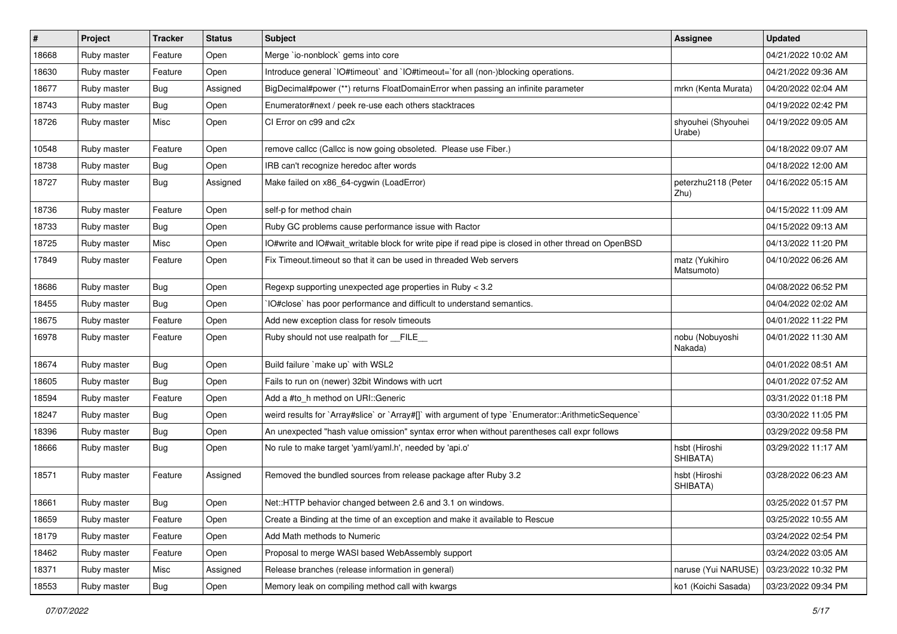| $\vert$ # | Project     | <b>Tracker</b> | <b>Status</b> | Subject                                                                                              | <b>Assignee</b>              | <b>Updated</b>      |
|-----------|-------------|----------------|---------------|------------------------------------------------------------------------------------------------------|------------------------------|---------------------|
| 18668     | Ruby master | Feature        | Open          | Merge `io-nonblock` gems into core                                                                   |                              | 04/21/2022 10:02 AM |
| 18630     | Ruby master | Feature        | Open          | Introduce general `IO#timeout` and `IO#timeout=`for all (non-)blocking operations.                   |                              | 04/21/2022 09:36 AM |
| 18677     | Ruby master | <b>Bug</b>     | Assigned      | BigDecimal#power (**) returns FloatDomainError when passing an infinite parameter                    | mrkn (Kenta Murata)          | 04/20/2022 02:04 AM |
| 18743     | Ruby master | <b>Bug</b>     | Open          | Enumerator#next / peek re-use each others stacktraces                                                |                              | 04/19/2022 02:42 PM |
| 18726     | Ruby master | Misc           | Open          | CI Error on c99 and c2x                                                                              | shyouhei (Shyouhei<br>Urabe) | 04/19/2022 09:05 AM |
| 10548     | Ruby master | Feature        | Open          | remove callcc (Callcc is now going obsoleted. Please use Fiber.)                                     |                              | 04/18/2022 09:07 AM |
| 18738     | Ruby master | Bug            | Open          | IRB can't recognize heredoc after words                                                              |                              | 04/18/2022 12:00 AM |
| 18727     | Ruby master | Bug            | Assigned      | Make failed on x86_64-cygwin (LoadError)                                                             | peterzhu2118 (Peter<br>Zhu)  | 04/16/2022 05:15 AM |
| 18736     | Ruby master | Feature        | Open          | self-p for method chain                                                                              |                              | 04/15/2022 11:09 AM |
| 18733     | Ruby master | <b>Bug</b>     | Open          | Ruby GC problems cause performance issue with Ractor                                                 |                              | 04/15/2022 09:13 AM |
| 18725     | Ruby master | Misc           | Open          | IO#write and IO#wait_writable block for write pipe if read pipe is closed in other thread on OpenBSD |                              | 04/13/2022 11:20 PM |
| 17849     | Ruby master | Feature        | Open          | Fix Timeout.timeout so that it can be used in threaded Web servers                                   | matz (Yukihiro<br>Matsumoto) | 04/10/2022 06:26 AM |
| 18686     | Ruby master | Bug            | Open          | Regexp supporting unexpected age properties in Ruby < 3.2                                            |                              | 04/08/2022 06:52 PM |
| 18455     | Ruby master | Bug            | Open          | IO#close` has poor performance and difficult to understand semantics.                                |                              | 04/04/2022 02:02 AM |
| 18675     | Ruby master | Feature        | Open          | Add new exception class for resolv timeouts                                                          |                              | 04/01/2022 11:22 PM |
| 16978     | Ruby master | Feature        | Open          | Ruby should not use realpath for __FILE__                                                            | nobu (Nobuyoshi<br>Nakada)   | 04/01/2022 11:30 AM |
| 18674     | Ruby master | Bug            | Open          | Build failure `make up` with WSL2                                                                    |                              | 04/01/2022 08:51 AM |
| 18605     | Ruby master | Bug            | Open          | Fails to run on (newer) 32bit Windows with ucrt                                                      |                              | 04/01/2022 07:52 AM |
| 18594     | Ruby master | Feature        | Open          | Add a #to_h method on URI::Generic                                                                   |                              | 03/31/2022 01:18 PM |
| 18247     | Ruby master | Bug            | Open          | weird results for `Array#slice` or `Array#[]` with argument of type `Enumerator::ArithmeticSequence` |                              | 03/30/2022 11:05 PM |
| 18396     | Ruby master | <b>Bug</b>     | Open          | An unexpected "hash value omission" syntax error when without parentheses call expr follows          |                              | 03/29/2022 09:58 PM |
| 18666     | Ruby master | <b>Bug</b>     | Open          | No rule to make target 'yaml/yaml.h', needed by 'api.o'                                              | hsbt (Hiroshi<br>SHIBATA)    | 03/29/2022 11:17 AM |
| 18571     | Ruby master | Feature        | Assigned      | Removed the bundled sources from release package after Ruby 3.2                                      | hsbt (Hiroshi<br>SHIBATA)    | 03/28/2022 06:23 AM |
| 18661     | Ruby master | <b>Bug</b>     | Open          | Net::HTTP behavior changed between 2.6 and 3.1 on windows.                                           |                              | 03/25/2022 01:57 PM |
| 18659     | Ruby master | Feature        | Open          | Create a Binding at the time of an exception and make it available to Rescue                         |                              | 03/25/2022 10:55 AM |
| 18179     | Ruby master | Feature        | Open          | Add Math methods to Numeric                                                                          |                              | 03/24/2022 02:54 PM |
| 18462     | Ruby master | Feature        | Open          | Proposal to merge WASI based WebAssembly support                                                     |                              | 03/24/2022 03:05 AM |
| 18371     | Ruby master | Misc           | Assigned      | Release branches (release information in general)                                                    | naruse (Yui NARUSE)          | 03/23/2022 10:32 PM |
| 18553     | Ruby master | <b>Bug</b>     | Open          | Memory leak on compiling method call with kwargs                                                     | ko1 (Koichi Sasada)          | 03/23/2022 09:34 PM |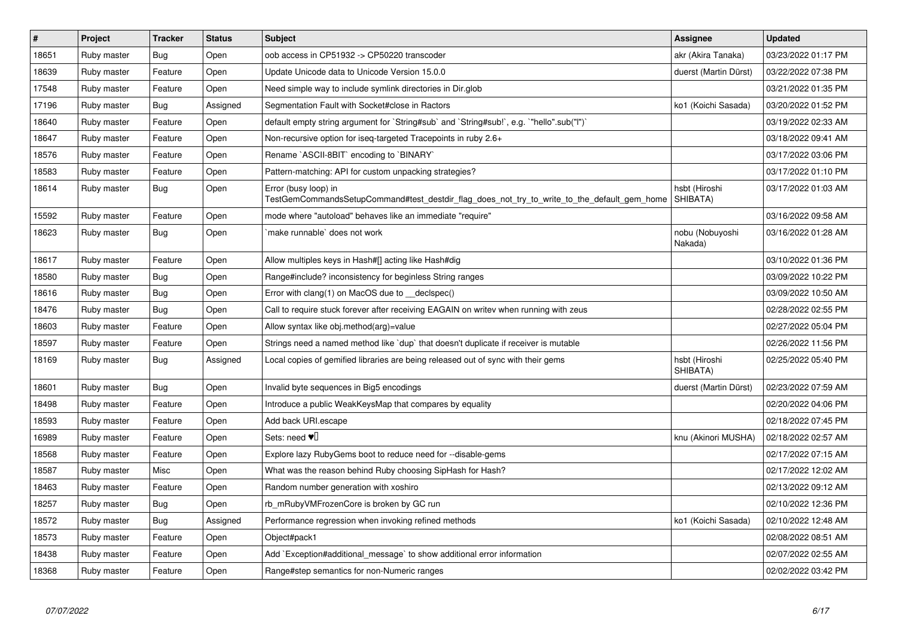| $\sharp$ | Project     | <b>Tracker</b> | <b>Status</b> | <b>Subject</b>                                                                                                      | Assignee                   | <b>Updated</b>      |
|----------|-------------|----------------|---------------|---------------------------------------------------------------------------------------------------------------------|----------------------------|---------------------|
| 18651    | Ruby master | <b>Bug</b>     | Open          | oob access in CP51932 -> CP50220 transcoder                                                                         | akr (Akira Tanaka)         | 03/23/2022 01:17 PM |
| 18639    | Ruby master | Feature        | Open          | Update Unicode data to Unicode Version 15.0.0                                                                       | duerst (Martin Dürst)      | 03/22/2022 07:38 PM |
| 17548    | Ruby master | Feature        | Open          | Need simple way to include symlink directories in Dir.glob                                                          |                            | 03/21/2022 01:35 PM |
| 17196    | Ruby master | Bug            | Assigned      | Segmentation Fault with Socket#close in Ractors                                                                     | ko1 (Koichi Sasada)        | 03/20/2022 01:52 PM |
| 18640    | Ruby master | Feature        | Open          | default empty string argument for `String#sub` and `String#sub!`, e.g. `"hello".sub("I")`                           |                            | 03/19/2022 02:33 AM |
| 18647    | Ruby master | Feature        | Open          | Non-recursive option for iseq-targeted Tracepoints in ruby 2.6+                                                     |                            | 03/18/2022 09:41 AM |
| 18576    | Ruby master | Feature        | Open          | Rename `ASCII-8BIT` encoding to `BINARY`                                                                            |                            | 03/17/2022 03:06 PM |
| 18583    | Ruby master | Feature        | Open          | Pattern-matching: API for custom unpacking strategies?                                                              |                            | 03/17/2022 01:10 PM |
| 18614    | Ruby master | Bug            | Open          | Error (busy loop) in<br>TestGemCommandsSetupCommand#test_destdir_flag_does_not_try_to_write_to_the_default_gem_home | hsbt (Hiroshi<br>SHIBATA)  | 03/17/2022 01:03 AM |
| 15592    | Ruby master | Feature        | Open          | mode where "autoload" behaves like an immediate "require"                                                           |                            | 03/16/2022 09:58 AM |
| 18623    | Ruby master | Bug            | Open          | `make runnable` does not work                                                                                       | nobu (Nobuyoshi<br>Nakada) | 03/16/2022 01:28 AM |
| 18617    | Ruby master | Feature        | Open          | Allow multiples keys in Hash#[] acting like Hash#dig                                                                |                            | 03/10/2022 01:36 PM |
| 18580    | Ruby master | Bug            | Open          | Range#include? inconsistency for beginless String ranges                                                            |                            | 03/09/2022 10:22 PM |
| 18616    | Ruby master | <b>Bug</b>     | Open          | Error with clang(1) on MacOS due to __declspec()                                                                    |                            | 03/09/2022 10:50 AM |
| 18476    | Ruby master | Bug            | Open          | Call to require stuck forever after receiving EAGAIN on writev when running with zeus                               |                            | 02/28/2022 02:55 PM |
| 18603    | Ruby master | Feature        | Open          | Allow syntax like obj.method(arg)=value                                                                             |                            | 02/27/2022 05:04 PM |
| 18597    | Ruby master | Feature        | Open          | Strings need a named method like 'dup' that doesn't duplicate if receiver is mutable                                |                            | 02/26/2022 11:56 PM |
| 18169    | Ruby master | Bug            | Assigned      | Local copies of gemified libraries are being released out of sync with their gems                                   | hsbt (Hiroshi<br>SHIBATA)  | 02/25/2022 05:40 PM |
| 18601    | Ruby master | Bug            | Open          | Invalid byte sequences in Big5 encodings                                                                            | duerst (Martin Dürst)      | 02/23/2022 07:59 AM |
| 18498    | Ruby master | Feature        | Open          | Introduce a public WeakKeysMap that compares by equality                                                            |                            | 02/20/2022 04:06 PM |
| 18593    | Ruby master | Feature        | Open          | Add back URI.escape                                                                                                 |                            | 02/18/2022 07:45 PM |
| 16989    | Ruby master | Feature        | Open          | Sets: need $\Psi$ <sup>[]</sup>                                                                                     | knu (Akinori MUSHA)        | 02/18/2022 02:57 AM |
| 18568    | Ruby master | Feature        | Open          | Explore lazy RubyGems boot to reduce need for --disable-gems                                                        |                            | 02/17/2022 07:15 AM |
| 18587    | Ruby master | Misc           | Open          | What was the reason behind Ruby choosing SipHash for Hash?                                                          |                            | 02/17/2022 12:02 AM |
| 18463    | Ruby master | Feature        | Open          | Random number generation with xoshiro                                                                               |                            | 02/13/2022 09:12 AM |
| 18257    | Ruby master | <b>Bug</b>     | Open          | rb mRubyVMFrozenCore is broken by GC run                                                                            |                            | 02/10/2022 12:36 PM |
| 18572    | Ruby master | Bug            | Assigned      | Performance regression when invoking refined methods                                                                | ko1 (Koichi Sasada)        | 02/10/2022 12:48 AM |
| 18573    | Ruby master | Feature        | Open          | Object#pack1                                                                                                        |                            | 02/08/2022 08:51 AM |
| 18438    | Ruby master | Feature        | Open          | Add `Exception#additional_message` to show additional error information                                             |                            | 02/07/2022 02:55 AM |
| 18368    | Ruby master | Feature        | Open          | Range#step semantics for non-Numeric ranges                                                                         |                            | 02/02/2022 03:42 PM |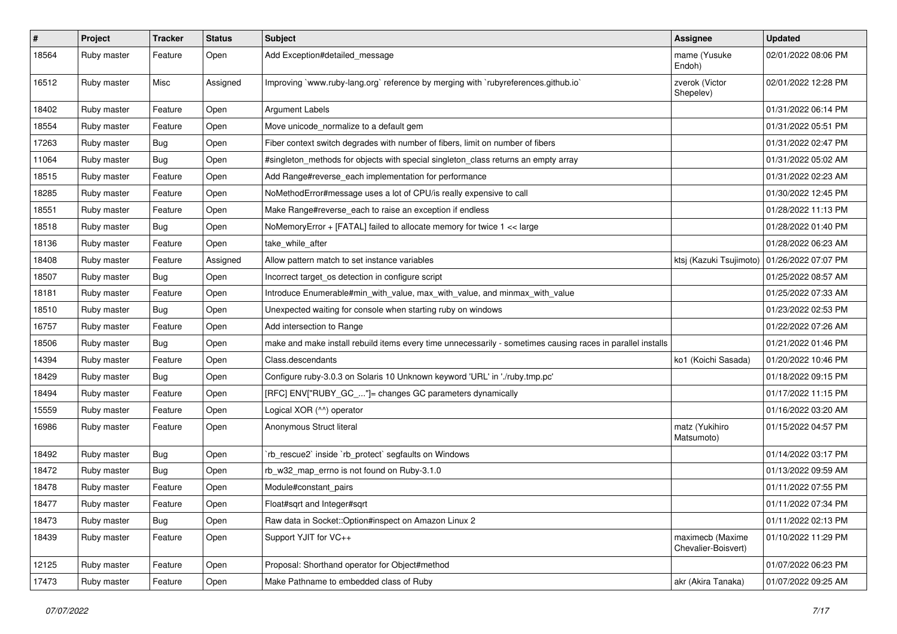| $\sharp$ | Project     | <b>Tracker</b> | <b>Status</b> | <b>Subject</b>                                                                                              | <b>Assignee</b>                         | <b>Updated</b>      |
|----------|-------------|----------------|---------------|-------------------------------------------------------------------------------------------------------------|-----------------------------------------|---------------------|
| 18564    | Ruby master | Feature        | Open          | Add Exception#detailed_message                                                                              | mame (Yusuke<br>Endoh)                  | 02/01/2022 08:06 PM |
| 16512    | Ruby master | Misc           | Assigned      | Improving `www.ruby-lang.org` reference by merging with `rubyreferences.github.io`                          | zverok (Victor<br>Shepelev)             | 02/01/2022 12:28 PM |
| 18402    | Ruby master | Feature        | Open          | <b>Argument Labels</b>                                                                                      |                                         | 01/31/2022 06:14 PM |
| 18554    | Ruby master | Feature        | Open          | Move unicode normalize to a default gem                                                                     |                                         | 01/31/2022 05:51 PM |
| 17263    | Ruby master | Bug            | Open          | Fiber context switch degrades with number of fibers, limit on number of fibers                              |                                         | 01/31/2022 02:47 PM |
| 11064    | Ruby master | Bug            | Open          | #singleton_methods for objects with special singleton_class returns an empty array                          |                                         | 01/31/2022 05:02 AM |
| 18515    | Ruby master | Feature        | Open          | Add Range#reverse_each implementation for performance                                                       |                                         | 01/31/2022 02:23 AM |
| 18285    | Ruby master | Feature        | Open          | NoMethodError#message uses a lot of CPU/is really expensive to call                                         |                                         | 01/30/2022 12:45 PM |
| 18551    | Ruby master | Feature        | Open          | Make Range#reverse_each to raise an exception if endless                                                    |                                         | 01/28/2022 11:13 PM |
| 18518    | Ruby master | <b>Bug</b>     | Open          | NoMemoryError + [FATAL] failed to allocate memory for twice 1 << large                                      |                                         | 01/28/2022 01:40 PM |
| 18136    | Ruby master | Feature        | Open          | take_while_after                                                                                            |                                         | 01/28/2022 06:23 AM |
| 18408    | Ruby master | Feature        | Assigned      | Allow pattern match to set instance variables                                                               | ktsj (Kazuki Tsujimoto)                 | 01/26/2022 07:07 PM |
| 18507    | Ruby master | Bug            | Open          | Incorrect target_os detection in configure script                                                           |                                         | 01/25/2022 08:57 AM |
| 18181    | Ruby master | Feature        | Open          | Introduce Enumerable#min with value, max with value, and minmax with value                                  |                                         | 01/25/2022 07:33 AM |
| 18510    | Ruby master | Bug            | Open          | Unexpected waiting for console when starting ruby on windows                                                |                                         | 01/23/2022 02:53 PM |
| 16757    | Ruby master | Feature        | Open          | Add intersection to Range                                                                                   |                                         | 01/22/2022 07:26 AM |
| 18506    | Ruby master | Bug            | Open          | make and make install rebuild items every time unnecessarily - sometimes causing races in parallel installs |                                         | 01/21/2022 01:46 PM |
| 14394    | Ruby master | Feature        | Open          | Class.descendants                                                                                           | ko1 (Koichi Sasada)                     | 01/20/2022 10:46 PM |
| 18429    | Ruby master | Bug            | Open          | Configure ruby-3.0.3 on Solaris 10 Unknown keyword 'URL' in './ruby.tmp.pc'                                 |                                         | 01/18/2022 09:15 PM |
| 18494    | Ruby master | Feature        | Open          | [RFC] ENV["RUBY_GC_"]= changes GC parameters dynamically                                                    |                                         | 01/17/2022 11:15 PM |
| 15559    | Ruby master | Feature        | Open          | Logical XOR (^^) operator                                                                                   |                                         | 01/16/2022 03:20 AM |
| 16986    | Ruby master | Feature        | Open          | Anonymous Struct literal                                                                                    | matz (Yukihiro<br>Matsumoto)            | 01/15/2022 04:57 PM |
| 18492    | Ruby master | <b>Bug</b>     | Open          | 'rb_rescue2' inside 'rb_protect' segfaults on Windows                                                       |                                         | 01/14/2022 03:17 PM |
| 18472    | Ruby master | Bug            | Open          | rb_w32_map_errno is not found on Ruby-3.1.0                                                                 |                                         | 01/13/2022 09:59 AM |
| 18478    | Ruby master | Feature        | Open          | Module#constant_pairs                                                                                       |                                         | 01/11/2022 07:55 PM |
| 18477    | Ruby master | Feature        | Open          | Float#sqrt and Integer#sqrt                                                                                 |                                         | 01/11/2022 07:34 PM |
| 18473    | Ruby master | Bug            | Open          | Raw data in Socket:: Option#inspect on Amazon Linux 2                                                       |                                         | 01/11/2022 02:13 PM |
| 18439    | Ruby master | Feature        | Open          | Support YJIT for VC++                                                                                       | maximecb (Maxime<br>Chevalier-Boisvert) | 01/10/2022 11:29 PM |
| 12125    | Ruby master | Feature        | Open          | Proposal: Shorthand operator for Object#method                                                              |                                         | 01/07/2022 06:23 PM |
| 17473    | Ruby master | Feature        | Open          | Make Pathname to embedded class of Ruby                                                                     | akr (Akira Tanaka)                      | 01/07/2022 09:25 AM |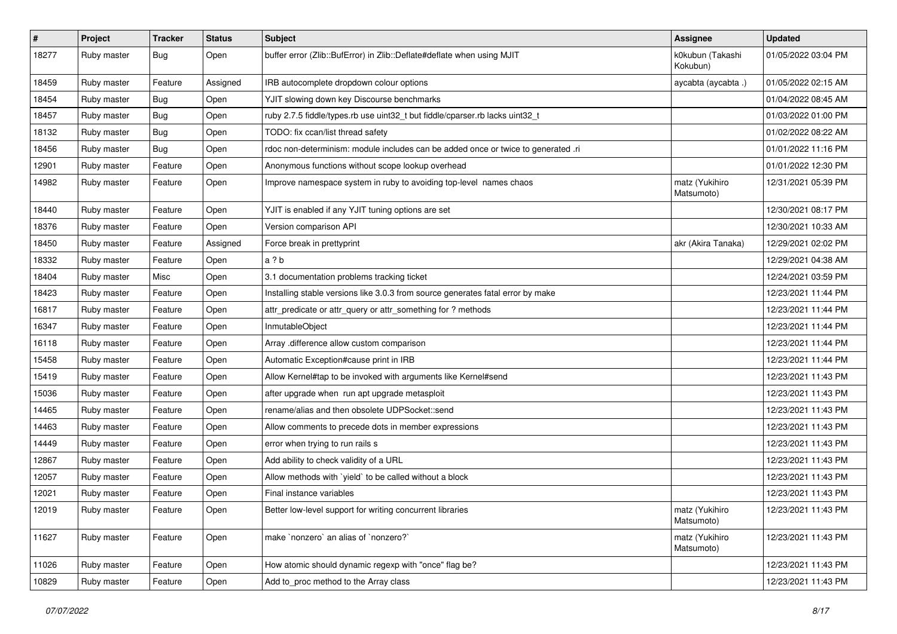| $\sharp$ | Project     | <b>Tracker</b> | <b>Status</b> | Subject                                                                           | <b>Assignee</b>              | <b>Updated</b>      |
|----------|-------------|----------------|---------------|-----------------------------------------------------------------------------------|------------------------------|---------------------|
| 18277    | Ruby master | <b>Bug</b>     | Open          | buffer error (Zlib::BufError) in Zlib::Deflate#deflate when using MJIT            | k0kubun (Takashi<br>Kokubun) | 01/05/2022 03:04 PM |
| 18459    | Ruby master | Feature        | Assigned      | IRB autocomplete dropdown colour options                                          | aycabta (aycabta.)           | 01/05/2022 02:15 AM |
| 18454    | Ruby master | <b>Bug</b>     | Open          | YJIT slowing down key Discourse benchmarks                                        |                              | 01/04/2022 08:45 AM |
| 18457    | Ruby master | <b>Bug</b>     | Open          | ruby 2.7.5 fiddle/types.rb use uint32_t but fiddle/cparser.rb lacks uint32_t      |                              | 01/03/2022 01:00 PM |
| 18132    | Ruby master | <b>Bug</b>     | Open          | TODO: fix ccan/list thread safety                                                 |                              | 01/02/2022 08:22 AM |
| 18456    | Ruby master | <b>Bug</b>     | Open          | rdoc non-determinism: module includes can be added once or twice to generated .ri |                              | 01/01/2022 11:16 PM |
| 12901    | Ruby master | Feature        | Open          | Anonymous functions without scope lookup overhead                                 |                              | 01/01/2022 12:30 PM |
| 14982    | Ruby master | Feature        | Open          | Improve namespace system in ruby to avoiding top-level names chaos                | matz (Yukihiro<br>Matsumoto) | 12/31/2021 05:39 PM |
| 18440    | Ruby master | Feature        | Open          | YJIT is enabled if any YJIT tuning options are set                                |                              | 12/30/2021 08:17 PM |
| 18376    | Ruby master | Feature        | Open          | Version comparison API                                                            |                              | 12/30/2021 10:33 AM |
| 18450    | Ruby master | Feature        | Assigned      | Force break in prettyprint                                                        | akr (Akira Tanaka)           | 12/29/2021 02:02 PM |
| 18332    | Ruby master | Feature        | Open          | a?b                                                                               |                              | 12/29/2021 04:38 AM |
| 18404    | Ruby master | Misc           | Open          | 3.1 documentation problems tracking ticket                                        |                              | 12/24/2021 03:59 PM |
| 18423    | Ruby master | Feature        | Open          | Installing stable versions like 3.0.3 from source generates fatal error by make   |                              | 12/23/2021 11:44 PM |
| 16817    | Ruby master | Feature        | Open          | attr_predicate or attr_query or attr_something for ? methods                      |                              | 12/23/2021 11:44 PM |
| 16347    | Ruby master | Feature        | Open          | InmutableObject                                                                   |                              | 12/23/2021 11:44 PM |
| 16118    | Ruby master | Feature        | Open          | Array .difference allow custom comparison                                         |                              | 12/23/2021 11:44 PM |
| 15458    | Ruby master | Feature        | Open          | Automatic Exception#cause print in IRB                                            |                              | 12/23/2021 11:44 PM |
| 15419    | Ruby master | Feature        | Open          | Allow Kernel#tap to be invoked with arguments like Kernel#send                    |                              | 12/23/2021 11:43 PM |
| 15036    | Ruby master | Feature        | Open          | after upgrade when run apt upgrade metasploit                                     |                              | 12/23/2021 11:43 PM |
| 14465    | Ruby master | Feature        | Open          | rename/alias and then obsolete UDPSocket::send                                    |                              | 12/23/2021 11:43 PM |
| 14463    | Ruby master | Feature        | Open          | Allow comments to precede dots in member expressions                              |                              | 12/23/2021 11:43 PM |
| 14449    | Ruby master | Feature        | Open          | error when trying to run rails s                                                  |                              | 12/23/2021 11:43 PM |
| 12867    | Ruby master | Feature        | Open          | Add ability to check validity of a URL                                            |                              | 12/23/2021 11:43 PM |
| 12057    | Ruby master | Feature        | Open          | Allow methods with 'yield' to be called without a block                           |                              | 12/23/2021 11:43 PM |
| 12021    | Ruby master | Feature        | Open          | Final instance variables                                                          |                              | 12/23/2021 11:43 PM |
| 12019    | Ruby master | Feature        | Open          | Better low-level support for writing concurrent libraries                         | matz (Yukihiro<br>Matsumoto) | 12/23/2021 11:43 PM |
| 11627    | Ruby master | Feature        | Open          | make 'nonzero' an alias of 'nonzero?'                                             | matz (Yukihiro<br>Matsumoto) | 12/23/2021 11:43 PM |
| 11026    | Ruby master | Feature        | Open          | How atomic should dynamic regexp with "once" flag be?                             |                              | 12/23/2021 11:43 PM |
| 10829    | Ruby master | Feature        | Open          | Add to_proc method to the Array class                                             |                              | 12/23/2021 11:43 PM |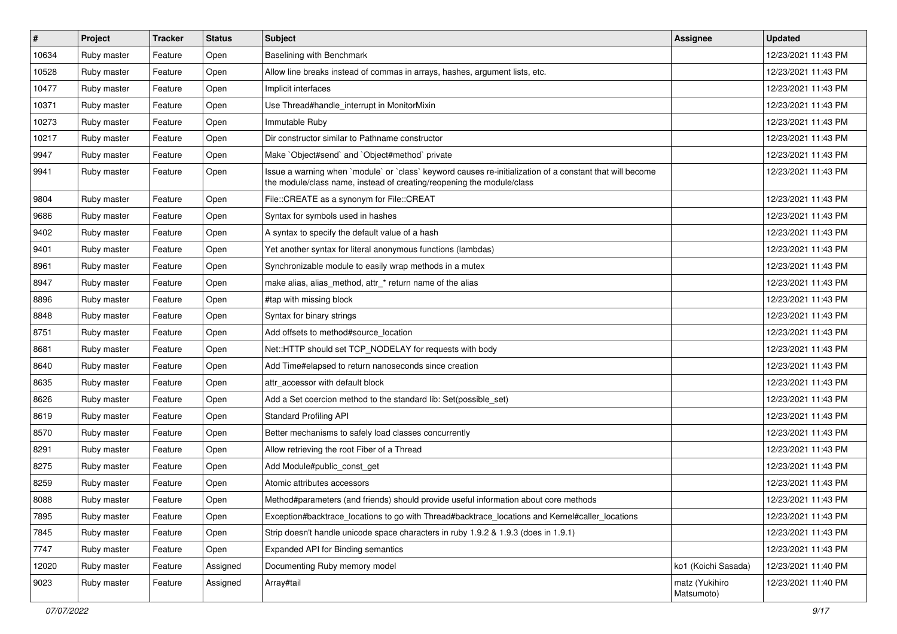| $\vert$ # | Project     | <b>Tracker</b> | <b>Status</b> | Subject                                                                                                                                                                           | <b>Assignee</b>              | <b>Updated</b>      |
|-----------|-------------|----------------|---------------|-----------------------------------------------------------------------------------------------------------------------------------------------------------------------------------|------------------------------|---------------------|
| 10634     | Ruby master | Feature        | Open          | Baselining with Benchmark                                                                                                                                                         |                              | 12/23/2021 11:43 PM |
| 10528     | Ruby master | Feature        | Open          | Allow line breaks instead of commas in arrays, hashes, argument lists, etc.                                                                                                       |                              | 12/23/2021 11:43 PM |
| 10477     | Ruby master | Feature        | Open          | Implicit interfaces                                                                                                                                                               |                              | 12/23/2021 11:43 PM |
| 10371     | Ruby master | Feature        | Open          | Use Thread#handle interrupt in MonitorMixin                                                                                                                                       |                              | 12/23/2021 11:43 PM |
| 10273     | Ruby master | Feature        | Open          | Immutable Ruby                                                                                                                                                                    |                              | 12/23/2021 11:43 PM |
| 10217     | Ruby master | Feature        | Open          | Dir constructor similar to Pathname constructor                                                                                                                                   |                              | 12/23/2021 11:43 PM |
| 9947      | Ruby master | Feature        | Open          | Make `Object#send` and `Object#method` private                                                                                                                                    |                              | 12/23/2021 11:43 PM |
| 9941      | Ruby master | Feature        | Open          | Issue a warning when `module` or `class` keyword causes re-initialization of a constant that will become<br>the module/class name, instead of creating/reopening the module/class |                              | 12/23/2021 11:43 PM |
| 9804      | Ruby master | Feature        | Open          | File::CREATE as a synonym for File::CREAT                                                                                                                                         |                              | 12/23/2021 11:43 PM |
| 9686      | Ruby master | Feature        | Open          | Syntax for symbols used in hashes                                                                                                                                                 |                              | 12/23/2021 11:43 PM |
| 9402      | Ruby master | Feature        | Open          | A syntax to specify the default value of a hash                                                                                                                                   |                              | 12/23/2021 11:43 PM |
| 9401      | Ruby master | Feature        | Open          | Yet another syntax for literal anonymous functions (lambdas)                                                                                                                      |                              | 12/23/2021 11:43 PM |
| 8961      | Ruby master | Feature        | Open          | Synchronizable module to easily wrap methods in a mutex                                                                                                                           |                              | 12/23/2021 11:43 PM |
| 8947      | Ruby master | Feature        | Open          | make alias, alias_method, attr_* return name of the alias                                                                                                                         |                              | 12/23/2021 11:43 PM |
| 8896      | Ruby master | Feature        | Open          | #tap with missing block                                                                                                                                                           |                              | 12/23/2021 11:43 PM |
| 8848      | Ruby master | Feature        | Open          | Syntax for binary strings                                                                                                                                                         |                              | 12/23/2021 11:43 PM |
| 8751      | Ruby master | Feature        | Open          | Add offsets to method#source_location                                                                                                                                             |                              | 12/23/2021 11:43 PM |
| 8681      | Ruby master | Feature        | Open          | Net::HTTP should set TCP_NODELAY for requests with body                                                                                                                           |                              | 12/23/2021 11:43 PM |
| 8640      | Ruby master | Feature        | Open          | Add Time#elapsed to return nanoseconds since creation                                                                                                                             |                              | 12/23/2021 11:43 PM |
| 8635      | Ruby master | Feature        | Open          | attr accessor with default block                                                                                                                                                  |                              | 12/23/2021 11:43 PM |
| 8626      | Ruby master | Feature        | Open          | Add a Set coercion method to the standard lib: Set(possible_set)                                                                                                                  |                              | 12/23/2021 11:43 PM |
| 8619      | Ruby master | Feature        | Open          | <b>Standard Profiling API</b>                                                                                                                                                     |                              | 12/23/2021 11:43 PM |
| 8570      | Ruby master | Feature        | Open          | Better mechanisms to safely load classes concurrently                                                                                                                             |                              | 12/23/2021 11:43 PM |
| 8291      | Ruby master | Feature        | Open          | Allow retrieving the root Fiber of a Thread                                                                                                                                       |                              | 12/23/2021 11:43 PM |
| 8275      | Ruby master | Feature        | Open          | Add Module#public_const_get                                                                                                                                                       |                              | 12/23/2021 11:43 PM |
| 8259      | Ruby master | Feature        | Open          | Atomic attributes accessors                                                                                                                                                       |                              | 12/23/2021 11:43 PM |
| 8088      | Ruby master | Feature        | Open          | Method#parameters (and friends) should provide useful information about core methods                                                                                              |                              | 12/23/2021 11:43 PM |
| 7895      | Ruby master | Feature        | Open          | Exception#backtrace_locations to go with Thread#backtrace_locations and Kernel#caller_locations                                                                                   |                              | 12/23/2021 11:43 PM |
| 7845      | Ruby master | Feature        | Open          | Strip doesn't handle unicode space characters in ruby 1.9.2 & 1.9.3 (does in 1.9.1)                                                                                               |                              | 12/23/2021 11:43 PM |
| 7747      | Ruby master | Feature        | Open          | Expanded API for Binding semantics                                                                                                                                                |                              | 12/23/2021 11:43 PM |
| 12020     | Ruby master | Feature        | Assigned      | Documenting Ruby memory model                                                                                                                                                     | ko1 (Koichi Sasada)          | 12/23/2021 11:40 PM |
| 9023      | Ruby master | Feature        | Assigned      | Array#tail                                                                                                                                                                        | matz (Yukihiro<br>Matsumoto) | 12/23/2021 11:40 PM |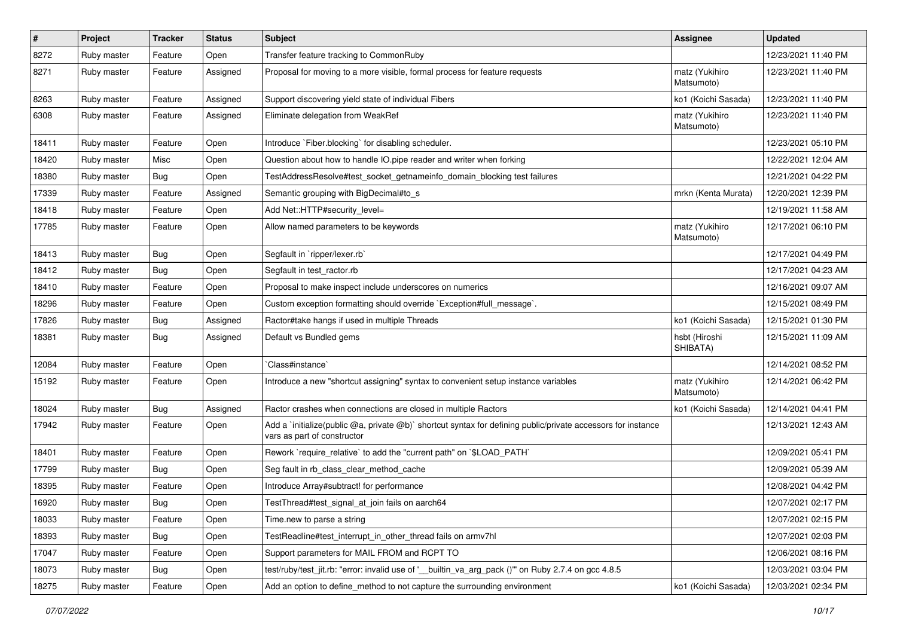| $\sharp$ | Project     | <b>Tracker</b> | <b>Status</b> | Subject                                                                                                                                     | <b>Assignee</b>              | <b>Updated</b>      |
|----------|-------------|----------------|---------------|---------------------------------------------------------------------------------------------------------------------------------------------|------------------------------|---------------------|
| 8272     | Ruby master | Feature        | Open          | Transfer feature tracking to CommonRuby                                                                                                     |                              | 12/23/2021 11:40 PM |
| 8271     | Ruby master | Feature        | Assigned      | Proposal for moving to a more visible, formal process for feature requests                                                                  | matz (Yukihiro<br>Matsumoto) | 12/23/2021 11:40 PM |
| 8263     | Ruby master | Feature        | Assigned      | Support discovering yield state of individual Fibers                                                                                        | ko1 (Koichi Sasada)          | 12/23/2021 11:40 PM |
| 6308     | Ruby master | Feature        | Assigned      | Eliminate delegation from WeakRef                                                                                                           | matz (Yukihiro<br>Matsumoto) | 12/23/2021 11:40 PM |
| 18411    | Ruby master | Feature        | Open          | Introduce `Fiber.blocking` for disabling scheduler.                                                                                         |                              | 12/23/2021 05:10 PM |
| 18420    | Ruby master | Misc           | Open          | Question about how to handle IO.pipe reader and writer when forking                                                                         |                              | 12/22/2021 12:04 AM |
| 18380    | Ruby master | <b>Bug</b>     | Open          | TestAddressResolve#test_socket_getnameinfo_domain_blocking test failures                                                                    |                              | 12/21/2021 04:22 PM |
| 17339    | Ruby master | Feature        | Assigned      | Semantic grouping with BigDecimal#to_s                                                                                                      | mrkn (Kenta Murata)          | 12/20/2021 12:39 PM |
| 18418    | Ruby master | Feature        | Open          | Add Net::HTTP#security_level=                                                                                                               |                              | 12/19/2021 11:58 AM |
| 17785    | Ruby master | Feature        | Open          | Allow named parameters to be keywords                                                                                                       | matz (Yukihiro<br>Matsumoto) | 12/17/2021 06:10 PM |
| 18413    | Ruby master | Bug            | Open          | Segfault in `ripper/lexer.rb`                                                                                                               |                              | 12/17/2021 04:49 PM |
| 18412    | Ruby master | Bug            | Open          | Segfault in test_ractor.rb                                                                                                                  |                              | 12/17/2021 04:23 AM |
| 18410    | Ruby master | Feature        | Open          | Proposal to make inspect include underscores on numerics                                                                                    |                              | 12/16/2021 09:07 AM |
| 18296    | Ruby master | Feature        | Open          | Custom exception formatting should override `Exception#full_message`.                                                                       |                              | 12/15/2021 08:49 PM |
| 17826    | Ruby master | Bug            | Assigned      | Ractor#take hangs if used in multiple Threads                                                                                               | ko1 (Koichi Sasada)          | 12/15/2021 01:30 PM |
| 18381    | Ruby master | <b>Bug</b>     | Assigned      | Default vs Bundled gems                                                                                                                     | hsbt (Hiroshi<br>SHIBATA)    | 12/15/2021 11:09 AM |
| 12084    | Ruby master | Feature        | Open          | 'Class#instance'                                                                                                                            |                              | 12/14/2021 08:52 PM |
| 15192    | Ruby master | Feature        | Open          | Introduce a new "shortcut assigning" syntax to convenient setup instance variables                                                          | matz (Yukihiro<br>Matsumoto) | 12/14/2021 06:42 PM |
| 18024    | Ruby master | <b>Bug</b>     | Assigned      | Ractor crashes when connections are closed in multiple Ractors                                                                              | ko1 (Koichi Sasada)          | 12/14/2021 04:41 PM |
| 17942    | Ruby master | Feature        | Open          | Add a `initialize(public @a, private @b)` shortcut syntax for defining public/private accessors for instance<br>vars as part of constructor |                              | 12/13/2021 12:43 AM |
| 18401    | Ruby master | Feature        | Open          | Rework `require_relative` to add the "current path" on `\$LOAD_PATH`                                                                        |                              | 12/09/2021 05:41 PM |
| 17799    | Ruby master | Bug            | Open          | Seg fault in rb_class_clear_method_cache                                                                                                    |                              | 12/09/2021 05:39 AM |
| 18395    | Ruby master | Feature        | Open          | Introduce Array#subtract! for performance                                                                                                   |                              | 12/08/2021 04:42 PM |
| 16920    | Ruby master | i Bug          | Open          | TestThread#test_signal_at_join fails on aarch64                                                                                             |                              | 12/07/2021 02:17 PM |
| 18033    | Ruby master | Feature        | Open          | Time.new to parse a string                                                                                                                  |                              | 12/07/2021 02:15 PM |
| 18393    | Ruby master | <b>Bug</b>     | Open          | TestReadline#test_interrupt_in_other_thread fails on armv7hl                                                                                |                              | 12/07/2021 02:03 PM |
| 17047    | Ruby master | Feature        | Open          | Support parameters for MAIL FROM and RCPT TO                                                                                                |                              | 12/06/2021 08:16 PM |
| 18073    | Ruby master | Bug            | Open          | test/ruby/test_jit.rb: "error: invalid use of '__builtin_va_arg_pack ()" on Ruby 2.7.4 on gcc 4.8.5                                         |                              | 12/03/2021 03:04 PM |
| 18275    | Ruby master | Feature        | Open          | Add an option to define_method to not capture the surrounding environment                                                                   | ko1 (Koichi Sasada)          | 12/03/2021 02:34 PM |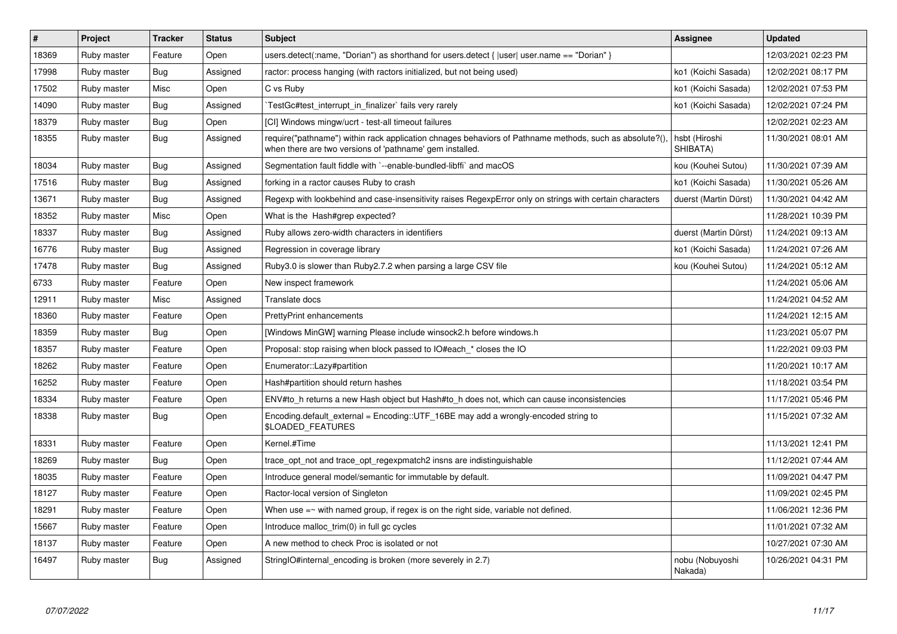| $\vert$ # | Project     | <b>Tracker</b> | <b>Status</b> | <b>Subject</b>                                                                                                                                                      | <b>Assignee</b>            | <b>Updated</b>      |
|-----------|-------------|----------------|---------------|---------------------------------------------------------------------------------------------------------------------------------------------------------------------|----------------------------|---------------------|
| 18369     | Ruby master | Feature        | Open          | users.detect(:name, "Dorian") as shorthand for users.detect { $ user $ user.name == "Dorian" }                                                                      |                            | 12/03/2021 02:23 PM |
| 17998     | Ruby master | <b>Bug</b>     | Assigned      | ractor: process hanging (with ractors initialized, but not being used)                                                                                              | ko1 (Koichi Sasada)        | 12/02/2021 08:17 PM |
| 17502     | Ruby master | Misc           | Open          | C vs Ruby                                                                                                                                                           | ko1 (Koichi Sasada)        | 12/02/2021 07:53 PM |
| 14090     | Ruby master | <b>Bug</b>     | Assigned      | TestGc#test_interrupt_in_finalizer` fails very rarely                                                                                                               | ko1 (Koichi Sasada)        | 12/02/2021 07:24 PM |
| 18379     | Ruby master | Bug            | Open          | [CI] Windows mingw/ucrt - test-all timeout failures                                                                                                                 |                            | 12/02/2021 02:23 AM |
| 18355     | Ruby master | <b>Bug</b>     | Assigned      | require("pathname") within rack application chnages behaviors of Pathname methods, such as absolute?(),<br>when there are two versions of 'pathname' gem installed. | hsbt (Hiroshi<br>SHIBATA)  | 11/30/2021 08:01 AM |
| 18034     | Ruby master | <b>Bug</b>     | Assigned      | Segmentation fault fiddle with `--enable-bundled-libffi` and macOS                                                                                                  | kou (Kouhei Sutou)         | 11/30/2021 07:39 AM |
| 17516     | Ruby master | Bug            | Assigned      | forking in a ractor causes Ruby to crash                                                                                                                            | ko1 (Koichi Sasada)        | 11/30/2021 05:26 AM |
| 13671     | Ruby master | <b>Bug</b>     | Assigned      | Regexp with lookbehind and case-insensitivity raises RegexpError only on strings with certain characters                                                            | duerst (Martin Dürst)      | 11/30/2021 04:42 AM |
| 18352     | Ruby master | Misc           | Open          | What is the Hash#grep expected?                                                                                                                                     |                            | 11/28/2021 10:39 PM |
| 18337     | Ruby master | <b>Bug</b>     | Assigned      | Ruby allows zero-width characters in identifiers                                                                                                                    | duerst (Martin Dürst)      | 11/24/2021 09:13 AM |
| 16776     | Ruby master | Bug            | Assigned      | Regression in coverage library                                                                                                                                      | ko1 (Koichi Sasada)        | 11/24/2021 07:26 AM |
| 17478     | Ruby master | Bug            | Assigned      | Ruby 3.0 is slower than Ruby 2.7.2 when parsing a large CSV file                                                                                                    | kou (Kouhei Sutou)         | 11/24/2021 05:12 AM |
| 6733      | Ruby master | Feature        | Open          | New inspect framework                                                                                                                                               |                            | 11/24/2021 05:06 AM |
| 12911     | Ruby master | Misc           | Assigned      | Translate docs                                                                                                                                                      |                            | 11/24/2021 04:52 AM |
| 18360     | Ruby master | Feature        | Open          | <b>PrettyPrint enhancements</b>                                                                                                                                     |                            | 11/24/2021 12:15 AM |
| 18359     | Ruby master | Bug            | Open          | [Windows MinGW] warning Please include winsock2.h before windows.h                                                                                                  |                            | 11/23/2021 05:07 PM |
| 18357     | Ruby master | Feature        | Open          | Proposal: stop raising when block passed to IO#each_* closes the IO                                                                                                 |                            | 11/22/2021 09:03 PM |
| 18262     | Ruby master | Feature        | Open          | Enumerator::Lazy#partition                                                                                                                                          |                            | 11/20/2021 10:17 AM |
| 16252     | Ruby master | Feature        | Open          | Hash#partition should return hashes                                                                                                                                 |                            | 11/18/2021 03:54 PM |
| 18334     | Ruby master | Feature        | Open          | ENV#to h returns a new Hash object but Hash#to h does not, which can cause inconsistencies                                                                          |                            | 11/17/2021 05:46 PM |
| 18338     | Ruby master | <b>Bug</b>     | Open          | Encoding.default_external = Encoding::UTF_16BE may add a wrongly-encoded string to<br>\$LOADED_FEATURES                                                             |                            | 11/15/2021 07:32 AM |
| 18331     | Ruby master | Feature        | Open          | Kernel.#Time                                                                                                                                                        |                            | 11/13/2021 12:41 PM |
| 18269     | Ruby master | Bug            | Open          | trace opt not and trace opt regexpmatch2 insns are indistinguishable                                                                                                |                            | 11/12/2021 07:44 AM |
| 18035     | Ruby master | Feature        | Open          | Introduce general model/semantic for immutable by default.                                                                                                          |                            | 11/09/2021 04:47 PM |
| 18127     | Ruby master | Feature        | Open          | Ractor-local version of Singleton                                                                                                                                   |                            | 11/09/2021 02:45 PM |
| 18291     | Ruby master | Feature        | Open          | When use $=\sim$ with named group, if regex is on the right side, variable not defined.                                                                             |                            | 11/06/2021 12:36 PM |
| 15667     | Ruby master | Feature        | Open          | Introduce malloc trim(0) in full gc cycles                                                                                                                          |                            | 11/01/2021 07:32 AM |
| 18137     | Ruby master | Feature        | Open          | A new method to check Proc is isolated or not                                                                                                                       |                            | 10/27/2021 07:30 AM |
| 16497     | Ruby master | <b>Bug</b>     | Assigned      | StringIO#internal encoding is broken (more severely in 2.7)                                                                                                         | nobu (Nobuyoshi<br>Nakada) | 10/26/2021 04:31 PM |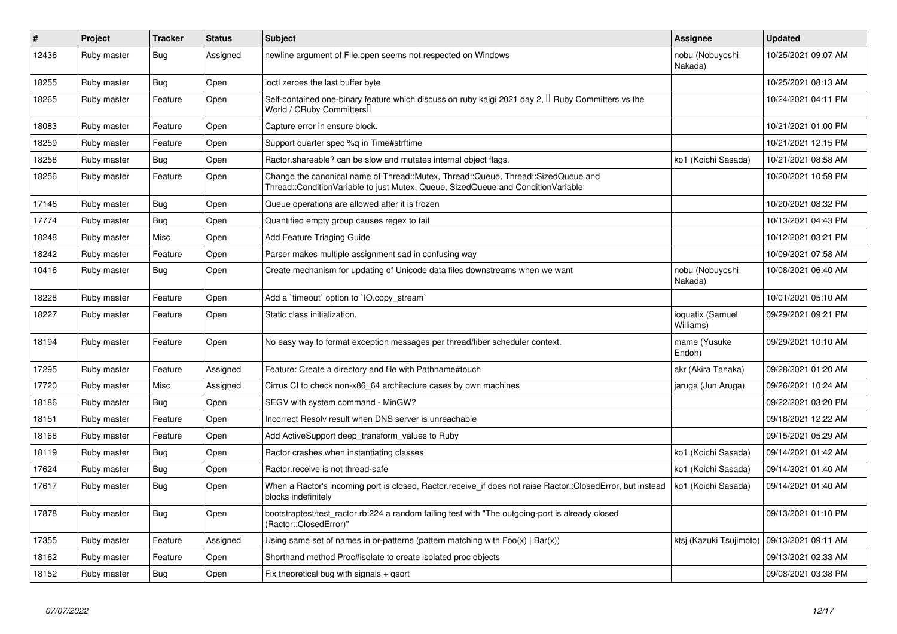| $\sharp$ | Project     | <b>Tracker</b> | <b>Status</b> | <b>Subject</b>                                                                                                                                                        | <b>Assignee</b>               | <b>Updated</b>      |
|----------|-------------|----------------|---------------|-----------------------------------------------------------------------------------------------------------------------------------------------------------------------|-------------------------------|---------------------|
| 12436    | Ruby master | Bug            | Assigned      | newline argument of File.open seems not respected on Windows                                                                                                          | nobu (Nobuyoshi<br>Nakada)    | 10/25/2021 09:07 AM |
| 18255    | Ruby master | <b>Bug</b>     | Open          | ioctl zeroes the last buffer byte                                                                                                                                     |                               | 10/25/2021 08:13 AM |
| 18265    | Ruby master | Feature        | Open          | Self-contained one-binary feature which discuss on ruby kaigi 2021 day 2, <sup>[]</sup> Ruby Committers vs the<br>World / CRuby Committers                            |                               | 10/24/2021 04:11 PM |
| 18083    | Ruby master | Feature        | Open          | Capture error in ensure block.                                                                                                                                        |                               | 10/21/2021 01:00 PM |
| 18259    | Ruby master | Feature        | Open          | Support quarter spec %q in Time#strftime                                                                                                                              |                               | 10/21/2021 12:15 PM |
| 18258    | Ruby master | Bug            | Open          | Ractor shareable? can be slow and mutates internal object flags.                                                                                                      | ko1 (Koichi Sasada)           | 10/21/2021 08:58 AM |
| 18256    | Ruby master | Feature        | Open          | Change the canonical name of Thread::Mutex, Thread::Queue, Thread::SizedQueue and<br>Thread::ConditionVariable to just Mutex, Queue, SizedQueue and ConditionVariable |                               | 10/20/2021 10:59 PM |
| 17146    | Ruby master | <b>Bug</b>     | Open          | Queue operations are allowed after it is frozen                                                                                                                       |                               | 10/20/2021 08:32 PM |
| 17774    | Ruby master | <b>Bug</b>     | Open          | Quantified empty group causes regex to fail                                                                                                                           |                               | 10/13/2021 04:43 PM |
| 18248    | Ruby master | Misc           | Open          | Add Feature Triaging Guide                                                                                                                                            |                               | 10/12/2021 03:21 PM |
| 18242    | Ruby master | Feature        | Open          | Parser makes multiple assignment sad in confusing way                                                                                                                 |                               | 10/09/2021 07:58 AM |
| 10416    | Ruby master | Bug            | Open          | Create mechanism for updating of Unicode data files downstreams when we want                                                                                          | nobu (Nobuyoshi<br>Nakada)    | 10/08/2021 06:40 AM |
| 18228    | Ruby master | Feature        | Open          | Add a 'timeout' option to 'IO.copy stream'                                                                                                                            |                               | 10/01/2021 05:10 AM |
| 18227    | Ruby master | Feature        | Open          | Static class initialization.                                                                                                                                          | ioquatix (Samuel<br>Williams) | 09/29/2021 09:21 PM |
| 18194    | Ruby master | Feature        | Open          | No easy way to format exception messages per thread/fiber scheduler context.                                                                                          | mame (Yusuke<br>Endoh)        | 09/29/2021 10:10 AM |
| 17295    | Ruby master | Feature        | Assigned      | Feature: Create a directory and file with Pathname#touch                                                                                                              | akr (Akira Tanaka)            | 09/28/2021 01:20 AM |
| 17720    | Ruby master | Misc           | Assigned      | Cirrus CI to check non-x86 64 architecture cases by own machines                                                                                                      | jaruga (Jun Aruga)            | 09/26/2021 10:24 AM |
| 18186    | Ruby master | Bug            | Open          | SEGV with system command - MinGW?                                                                                                                                     |                               | 09/22/2021 03:20 PM |
| 18151    | Ruby master | Feature        | Open          | Incorrect Resolv result when DNS server is unreachable                                                                                                                |                               | 09/18/2021 12:22 AM |
| 18168    | Ruby master | Feature        | Open          | Add ActiveSupport deep_transform_values to Ruby                                                                                                                       |                               | 09/15/2021 05:29 AM |
| 18119    | Ruby master | Bug            | Open          | Ractor crashes when instantiating classes                                                                                                                             | ko1 (Koichi Sasada)           | 09/14/2021 01:42 AM |
| 17624    | Ruby master | <b>Bug</b>     | Open          | Ractor.receive is not thread-safe                                                                                                                                     | ko1 (Koichi Sasada)           | 09/14/2021 01:40 AM |
| 17617    | Ruby master | <b>Bug</b>     | Open          | When a Ractor's incoming port is closed, Ractor receive if does not raise Ractor::ClosedError, but instead<br>blocks indefinitely                                     | ko1 (Koichi Sasada)           | 09/14/2021 01:40 AM |
| 17878    | Ruby master | Bug            | Open          | bootstraptest/test_ractor.rb:224 a random failing test with "The outgoing-port is already closed<br>(Ractor::ClosedError)"                                            |                               | 09/13/2021 01:10 PM |
| 17355    | Ruby master | Feature        | Assigned      | Using same set of names in or-patterns (pattern matching with $Foo(x)   Bar(x)$ )                                                                                     | ktsi (Kazuki Tsujimoto)       | 09/13/2021 09:11 AM |
| 18162    | Ruby master | Feature        | Open          | Shorthand method Proc#isolate to create isolated proc objects                                                                                                         |                               | 09/13/2021 02:33 AM |
| 18152    | Ruby master | Bug            | Open          | Fix theoretical bug with signals $+$ qsort                                                                                                                            |                               | 09/08/2021 03:38 PM |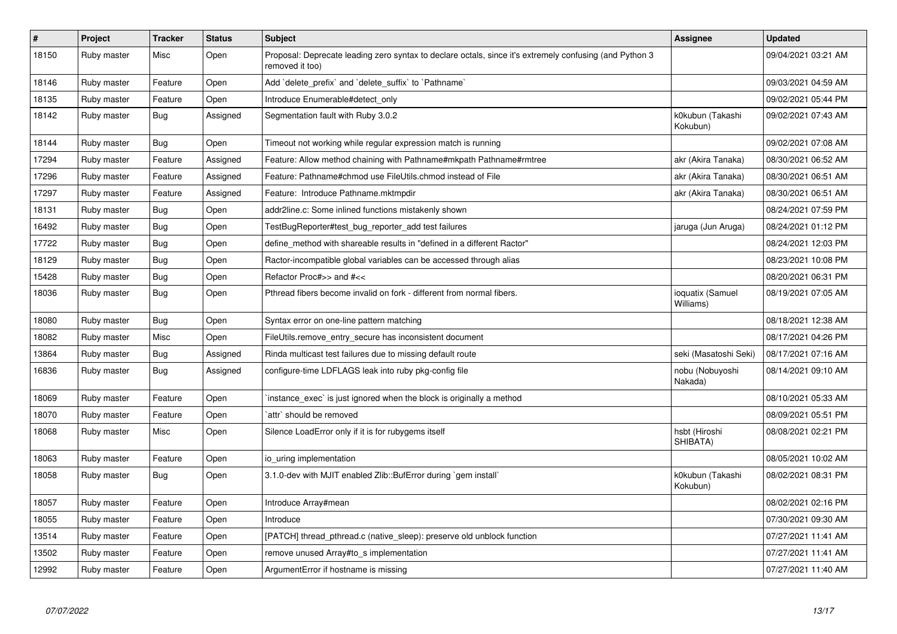| $\pmb{\#}$ | Project     | <b>Tracker</b> | <b>Status</b> | <b>Subject</b>                                                                                                             | <b>Assignee</b>               | <b>Updated</b>      |
|------------|-------------|----------------|---------------|----------------------------------------------------------------------------------------------------------------------------|-------------------------------|---------------------|
| 18150      | Ruby master | Misc           | Open          | Proposal: Deprecate leading zero syntax to declare octals, since it's extremely confusing (and Python 3<br>removed it too) |                               | 09/04/2021 03:21 AM |
| 18146      | Ruby master | Feature        | Open          | Add 'delete_prefix' and 'delete_suffix' to 'Pathname'                                                                      |                               | 09/03/2021 04:59 AM |
| 18135      | Ruby master | Feature        | Open          | Introduce Enumerable#detect only                                                                                           |                               | 09/02/2021 05:44 PM |
| 18142      | Ruby master | <b>Bug</b>     | Assigned      | Segmentation fault with Ruby 3.0.2                                                                                         | k0kubun (Takashi<br>Kokubun)  | 09/02/2021 07:43 AM |
| 18144      | Ruby master | <b>Bug</b>     | Open          | Timeout not working while regular expression match is running                                                              |                               | 09/02/2021 07:08 AM |
| 17294      | Ruby master | Feature        | Assigned      | Feature: Allow method chaining with Pathname#mkpath Pathname#rmtree                                                        | akr (Akira Tanaka)            | 08/30/2021 06:52 AM |
| 17296      | Ruby master | Feature        | Assigned      | Feature: Pathname#chmod use FileUtils.chmod instead of File                                                                | akr (Akira Tanaka)            | 08/30/2021 06:51 AM |
| 17297      | Ruby master | Feature        | Assigned      | Feature: Introduce Pathname.mktmpdir                                                                                       | akr (Akira Tanaka)            | 08/30/2021 06:51 AM |
| 18131      | Ruby master | <b>Bug</b>     | Open          | addr2line.c: Some inlined functions mistakenly shown                                                                       |                               | 08/24/2021 07:59 PM |
| 16492      | Ruby master | <b>Bug</b>     | Open          | TestBugReporter#test_bug_reporter_add test failures                                                                        | jaruga (Jun Aruga)            | 08/24/2021 01:12 PM |
| 17722      | Ruby master | <b>Bug</b>     | Open          | define_method with shareable results in "defined in a different Ractor"                                                    |                               | 08/24/2021 12:03 PM |
| 18129      | Ruby master | <b>Bug</b>     | Open          | Ractor-incompatible global variables can be accessed through alias                                                         |                               | 08/23/2021 10:08 PM |
| 15428      | Ruby master | <b>Bug</b>     | Open          | Refactor Proc#>> and #<<                                                                                                   |                               | 08/20/2021 06:31 PM |
| 18036      | Ruby master | Bug            | Open          | Pthread fibers become invalid on fork - different from normal fibers.                                                      | ioquatix (Samuel<br>Williams) | 08/19/2021 07:05 AM |
| 18080      | Ruby master | Bug            | Open          | Syntax error on one-line pattern matching                                                                                  |                               | 08/18/2021 12:38 AM |
| 18082      | Ruby master | Misc           | Open          | FileUtils.remove_entry_secure has inconsistent document                                                                    |                               | 08/17/2021 04:26 PM |
| 13864      | Ruby master | Bug            | Assigned      | Rinda multicast test failures due to missing default route                                                                 | seki (Masatoshi Seki)         | 08/17/2021 07:16 AM |
| 16836      | Ruby master | Bug            | Assigned      | configure-time LDFLAGS leak into ruby pkg-config file                                                                      | nobu (Nobuyoshi<br>Nakada)    | 08/14/2021 09:10 AM |
| 18069      | Ruby master | Feature        | Open          | instance exec is just ignored when the block is originally a method                                                        |                               | 08/10/2021 05:33 AM |
| 18070      | Ruby master | Feature        | Open          | `attr` should be removed                                                                                                   |                               | 08/09/2021 05:51 PM |
| 18068      | Ruby master | Misc           | Open          | Silence LoadError only if it is for rubygems itself                                                                        | hsbt (Hiroshi<br>SHIBATA)     | 08/08/2021 02:21 PM |
| 18063      | Ruby master | Feature        | Open          | io uring implementation                                                                                                    |                               | 08/05/2021 10:02 AM |
| 18058      | Ruby master | <b>Bug</b>     | Open          | 3.1.0-dev with MJIT enabled Zlib::BufError during `gem install`                                                            | k0kubun (Takashi<br>Kokubun)  | 08/02/2021 08:31 PM |
| 18057      | Ruby master | Feature        | Open          | Introduce Array#mean                                                                                                       |                               | 08/02/2021 02:16 PM |
| 18055      | Ruby master | Feature        | Open          | Introduce                                                                                                                  |                               | 07/30/2021 09:30 AM |
| 13514      | Ruby master | Feature        | Open          | [PATCH] thread_pthread.c (native_sleep): preserve old unblock function                                                     |                               | 07/27/2021 11:41 AM |
| 13502      | Ruby master | Feature        | Open          | remove unused Array#to s implementation                                                                                    |                               | 07/27/2021 11:41 AM |
| 12992      | Ruby master | Feature        | Open          | ArgumentError if hostname is missing                                                                                       |                               | 07/27/2021 11:40 AM |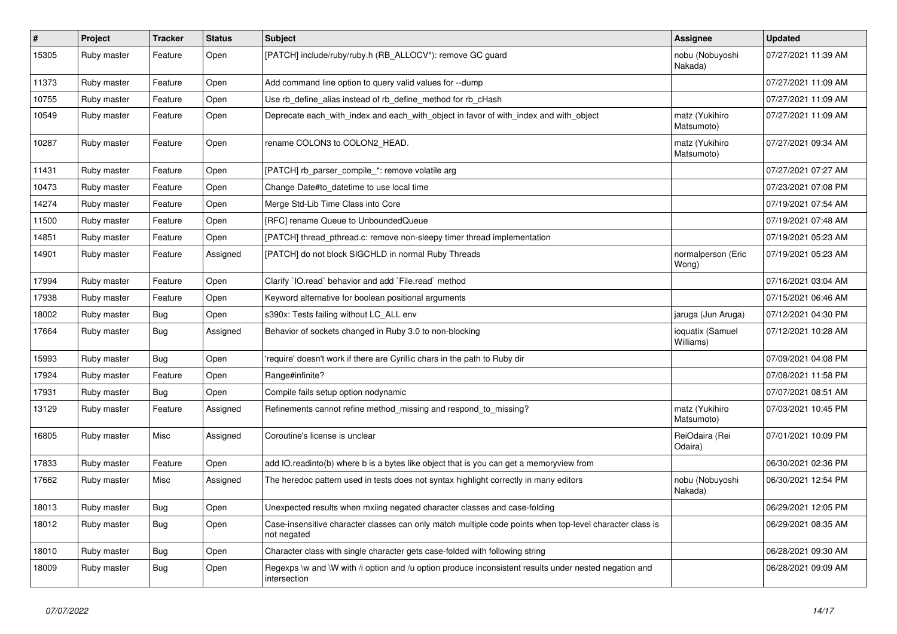| $\vert$ # | Project     | <b>Tracker</b> | <b>Status</b> | <b>Subject</b>                                                                                                          | Assignee                      | <b>Updated</b>      |
|-----------|-------------|----------------|---------------|-------------------------------------------------------------------------------------------------------------------------|-------------------------------|---------------------|
| 15305     | Ruby master | Feature        | Open          | [PATCH] include/ruby/ruby.h (RB_ALLOCV*): remove GC guard                                                               | nobu (Nobuyoshi<br>Nakada)    | 07/27/2021 11:39 AM |
| 11373     | Ruby master | Feature        | Open          | Add command line option to query valid values for --dump                                                                |                               | 07/27/2021 11:09 AM |
| 10755     | Ruby master | Feature        | Open          | Use rb define alias instead of rb define method for rb cHash                                                            |                               | 07/27/2021 11:09 AM |
| 10549     | Ruby master | Feature        | Open          | Deprecate each with index and each with object in favor of with index and with object                                   | matz (Yukihiro<br>Matsumoto)  | 07/27/2021 11:09 AM |
| 10287     | Ruby master | Feature        | Open          | rename COLON3 to COLON2_HEAD.                                                                                           | matz (Yukihiro<br>Matsumoto)  | 07/27/2021 09:34 AM |
| 11431     | Ruby master | Feature        | Open          | [PATCH] rb parser compile *: remove volatile arg                                                                        |                               | 07/27/2021 07:27 AM |
| 10473     | Ruby master | Feature        | Open          | Change Date#to datetime to use local time                                                                               |                               | 07/23/2021 07:08 PM |
| 14274     | Ruby master | Feature        | Open          | Merge Std-Lib Time Class into Core                                                                                      |                               | 07/19/2021 07:54 AM |
| 11500     | Ruby master | Feature        | Open          | [RFC] rename Queue to UnboundedQueue                                                                                    |                               | 07/19/2021 07:48 AM |
| 14851     | Ruby master | Feature        | Open          | [PATCH] thread pthread.c: remove non-sleepy timer thread implementation                                                 |                               | 07/19/2021 05:23 AM |
| 14901     | Ruby master | Feature        | Assigned      | [PATCH] do not block SIGCHLD in normal Ruby Threads                                                                     | normalperson (Eric<br>Wong)   | 07/19/2021 05:23 AM |
| 17994     | Ruby master | Feature        | Open          | Clarify 'IO.read' behavior and add 'File.read' method                                                                   |                               | 07/16/2021 03:04 AM |
| 17938     | Ruby master | Feature        | Open          | Keyword alternative for boolean positional arguments                                                                    |                               | 07/15/2021 06:46 AM |
| 18002     | Ruby master | <b>Bug</b>     | Open          | s390x: Tests failing without LC_ALL env                                                                                 | jaruga (Jun Aruga)            | 07/12/2021 04:30 PM |
| 17664     | Ruby master | <b>Bug</b>     | Assigned      | Behavior of sockets changed in Ruby 3.0 to non-blocking                                                                 | ioquatix (Samuel<br>Williams) | 07/12/2021 10:28 AM |
| 15993     | Ruby master | Bug            | Open          | require' doesn't work if there are Cyrillic chars in the path to Ruby dir                                               |                               | 07/09/2021 04:08 PM |
| 17924     | Ruby master | Feature        | Open          | Range#infinite?                                                                                                         |                               | 07/08/2021 11:58 PM |
| 17931     | Ruby master | <b>Bug</b>     | Open          | Compile fails setup option nodynamic                                                                                    |                               | 07/07/2021 08:51 AM |
| 13129     | Ruby master | Feature        | Assigned      | Refinements cannot refine method missing and respond to missing?                                                        | matz (Yukihiro<br>Matsumoto)  | 07/03/2021 10:45 PM |
| 16805     | Ruby master | Misc           | Assigned      | Coroutine's license is unclear                                                                                          | ReiOdaira (Rei<br>Odaira)     | 07/01/2021 10:09 PM |
| 17833     | Ruby master | Feature        | Open          | add IO. readinto(b) where b is a bytes like object that is you can get a memoryview from                                |                               | 06/30/2021 02:36 PM |
| 17662     | Ruby master | Misc           | Assigned      | The heredoc pattern used in tests does not syntax highlight correctly in many editors                                   | nobu (Nobuyoshi<br>Nakada)    | 06/30/2021 12:54 PM |
| 18013     | Ruby master | <b>Bug</b>     | Open          | Unexpected results when mxiing negated character classes and case-folding                                               |                               | 06/29/2021 12:05 PM |
| 18012     | Ruby master | <b>Bug</b>     | Open          | Case-insensitive character classes can only match multiple code points when top-level character class is<br>not negated |                               | 06/29/2021 08:35 AM |
| 18010     | Ruby master | <b>Bug</b>     | Open          | Character class with single character gets case-folded with following string                                            |                               | 06/28/2021 09:30 AM |
| 18009     | Ruby master | <b>Bug</b>     | Open          | Regexps \w and \W with /i option and /u option produce inconsistent results under nested negation and<br>intersection   |                               | 06/28/2021 09:09 AM |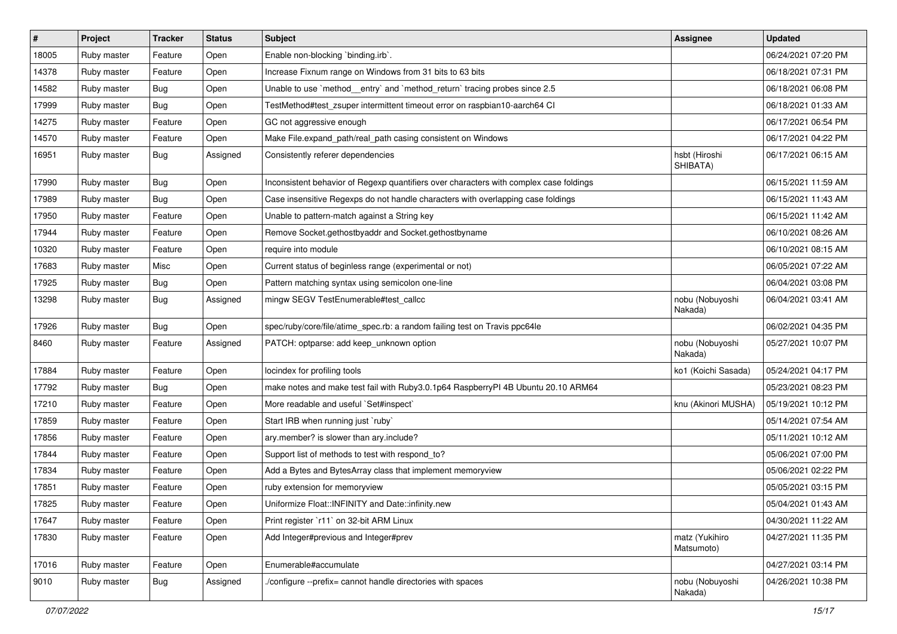| $\sharp$ | Project     | <b>Tracker</b> | <b>Status</b> | Subject                                                                                | <b>Assignee</b>              | <b>Updated</b>      |
|----------|-------------|----------------|---------------|----------------------------------------------------------------------------------------|------------------------------|---------------------|
| 18005    | Ruby master | Feature        | Open          | Enable non-blocking `binding.irb`.                                                     |                              | 06/24/2021 07:20 PM |
| 14378    | Ruby master | Feature        | Open          | Increase Fixnum range on Windows from 31 bits to 63 bits                               |                              | 06/18/2021 07:31 PM |
| 14582    | Ruby master | <b>Bug</b>     | Open          | Unable to use `method_entry` and `method_return` tracing probes since 2.5              |                              | 06/18/2021 06:08 PM |
| 17999    | Ruby master | Bug            | Open          | TestMethod#test_zsuper intermittent timeout error on raspbian10-aarch64 Cl             |                              | 06/18/2021 01:33 AM |
| 14275    | Ruby master | Feature        | Open          | GC not aggressive enough                                                               |                              | 06/17/2021 06:54 PM |
| 14570    | Ruby master | Feature        | Open          | Make File.expand_path/real_path casing consistent on Windows                           |                              | 06/17/2021 04:22 PM |
| 16951    | Ruby master | <b>Bug</b>     | Assigned      | Consistently referer dependencies                                                      | hsbt (Hiroshi<br>SHIBATA)    | 06/17/2021 06:15 AM |
| 17990    | Ruby master | <b>Bug</b>     | Open          | Inconsistent behavior of Regexp quantifiers over characters with complex case foldings |                              | 06/15/2021 11:59 AM |
| 17989    | Ruby master | <b>Bug</b>     | Open          | Case insensitive Regexps do not handle characters with overlapping case foldings       |                              | 06/15/2021 11:43 AM |
| 17950    | Ruby master | Feature        | Open          | Unable to pattern-match against a String key                                           |                              | 06/15/2021 11:42 AM |
| 17944    | Ruby master | Feature        | Open          | Remove Socket.gethostbyaddr and Socket.gethostbyname                                   |                              | 06/10/2021 08:26 AM |
| 10320    | Ruby master | Feature        | Open          | require into module                                                                    |                              | 06/10/2021 08:15 AM |
| 17683    | Ruby master | Misc           | Open          | Current status of beginless range (experimental or not)                                |                              | 06/05/2021 07:22 AM |
| 17925    | Ruby master | <b>Bug</b>     | Open          | Pattern matching syntax using semicolon one-line                                       |                              | 06/04/2021 03:08 PM |
| 13298    | Ruby master | <b>Bug</b>     | Assigned      | mingw SEGV TestEnumerable#test_callcc                                                  | nobu (Nobuyoshi<br>Nakada)   | 06/04/2021 03:41 AM |
| 17926    | Ruby master | <b>Bug</b>     | Open          | spec/ruby/core/file/atime_spec.rb: a random failing test on Travis ppc64le             |                              | 06/02/2021 04:35 PM |
| 8460     | Ruby master | Feature        | Assigned      | PATCH: optparse: add keep_unknown option                                               | nobu (Nobuyoshi<br>Nakada)   | 05/27/2021 10:07 PM |
| 17884    | Ruby master | Feature        | Open          | locindex for profiling tools                                                           | ko1 (Koichi Sasada)          | 05/24/2021 04:17 PM |
| 17792    | Ruby master | <b>Bug</b>     | Open          | make notes and make test fail with Ruby3.0.1p64 RaspberryPI 4B Ubuntu 20.10 ARM64      |                              | 05/23/2021 08:23 PM |
| 17210    | Ruby master | Feature        | Open          | More readable and useful `Set#inspect`                                                 | knu (Akinori MUSHA)          | 05/19/2021 10:12 PM |
| 17859    | Ruby master | Feature        | Open          | Start IRB when running just `ruby`                                                     |                              | 05/14/2021 07:54 AM |
| 17856    | Ruby master | Feature        | Open          | ary.member? is slower than ary.include?                                                |                              | 05/11/2021 10:12 AM |
| 17844    | Ruby master | Feature        | Open          | Support list of methods to test with respond_to?                                       |                              | 05/06/2021 07:00 PM |
| 17834    | Ruby master | Feature        | Open          | Add a Bytes and BytesArray class that implement memoryview                             |                              | 05/06/2021 02:22 PM |
| 17851    | Ruby master | Feature        | Open          | ruby extension for memoryview                                                          |                              | 05/05/2021 03:15 PM |
| 17825    | Ruby master | Feature        | Open          | Uniformize Float::INFINITY and Date::infinity.new                                      |                              | 05/04/2021 01:43 AM |
| 17647    | Ruby master | Feature        | Open          | Print register `r11` on 32-bit ARM Linux                                               |                              | 04/30/2021 11:22 AM |
| 17830    | Ruby master | Feature        | Open          | Add Integer#previous and Integer#prev                                                  | matz (Yukihiro<br>Matsumoto) | 04/27/2021 11:35 PM |
| 17016    | Ruby master | Feature        | Open          | Enumerable#accumulate                                                                  |                              | 04/27/2021 03:14 PM |
| 9010     | Ruby master | Bug            | Assigned      | /configure --prefix= cannot handle directories with spaces                             | nobu (Nobuyoshi<br>Nakada)   | 04/26/2021 10:38 PM |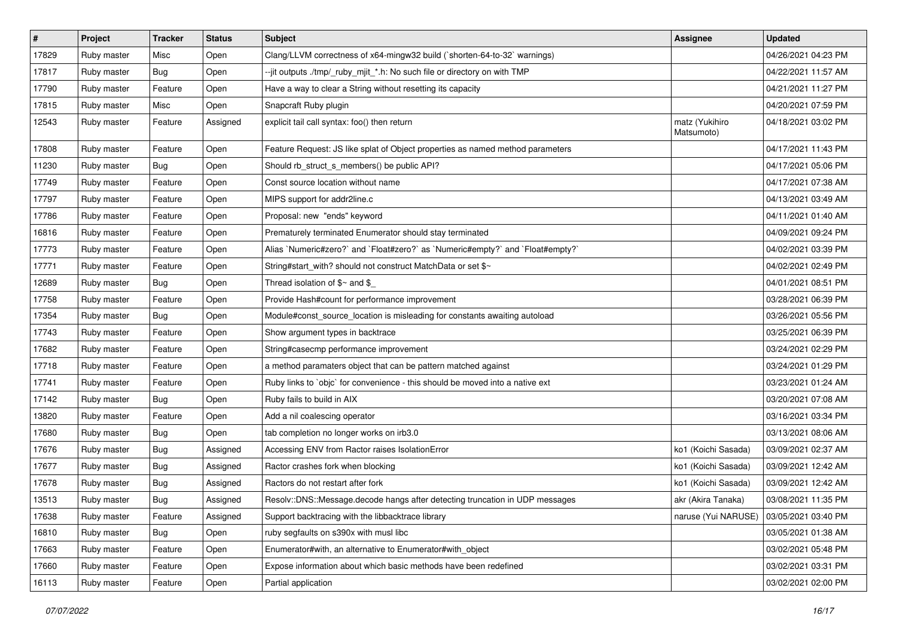| $\vert$ # | Project     | <b>Tracker</b> | <b>Status</b> | <b>Subject</b>                                                                 | <b>Assignee</b>              | <b>Updated</b>      |
|-----------|-------------|----------------|---------------|--------------------------------------------------------------------------------|------------------------------|---------------------|
| 17829     | Ruby master | Misc           | Open          | Clang/LLVM correctness of x64-mingw32 build (`shorten-64-to-32` warnings)      |                              | 04/26/2021 04:23 PM |
| 17817     | Ruby master | <b>Bug</b>     | Open          | --jit outputs ./tmp/_ruby_mjit_*.h: No such file or directory on with TMP      |                              | 04/22/2021 11:57 AM |
| 17790     | Ruby master | Feature        | Open          | Have a way to clear a String without resetting its capacity                    |                              | 04/21/2021 11:27 PM |
| 17815     | Ruby master | Misc           | Open          | Snapcraft Ruby plugin                                                          |                              | 04/20/2021 07:59 PM |
| 12543     | Ruby master | Feature        | Assigned      | explicit tail call syntax: foo() then return                                   | matz (Yukihiro<br>Matsumoto) | 04/18/2021 03:02 PM |
| 17808     | Ruby master | Feature        | Open          | Feature Request: JS like splat of Object properties as named method parameters |                              | 04/17/2021 11:43 PM |
| 11230     | Ruby master | <b>Bug</b>     | Open          | Should rb_struct_s_members() be public API?                                    |                              | 04/17/2021 05:06 PM |
| 17749     | Ruby master | Feature        | Open          | Const source location without name                                             |                              | 04/17/2021 07:38 AM |
| 17797     | Ruby master | Feature        | Open          | MIPS support for addr2line.c                                                   |                              | 04/13/2021 03:49 AM |
| 17786     | Ruby master | Feature        | Open          | Proposal: new "ends" keyword                                                   |                              | 04/11/2021 01:40 AM |
| 16816     | Ruby master | Feature        | Open          | Prematurely terminated Enumerator should stay terminated                       |                              | 04/09/2021 09:24 PM |
| 17773     | Ruby master | Feature        | Open          | Alias `Numeric#zero?` and `Float#zero?` as `Numeric#empty?` and `Float#empty?` |                              | 04/02/2021 03:39 PM |
| 17771     | Ruby master | Feature        | Open          | String#start_with? should not construct MatchData or set \$~                   |                              | 04/02/2021 02:49 PM |
| 12689     | Ruby master | <b>Bug</b>     | Open          | Thread isolation of $$~$ and $$$                                               |                              | 04/01/2021 08:51 PM |
| 17758     | Ruby master | Feature        | Open          | Provide Hash#count for performance improvement                                 |                              | 03/28/2021 06:39 PM |
| 17354     | Ruby master | <b>Bug</b>     | Open          | Module#const_source_location is misleading for constants awaiting autoload     |                              | 03/26/2021 05:56 PM |
| 17743     | Ruby master | Feature        | Open          | Show argument types in backtrace                                               |                              | 03/25/2021 06:39 PM |
| 17682     | Ruby master | Feature        | Open          | String#casecmp performance improvement                                         |                              | 03/24/2021 02:29 PM |
| 17718     | Ruby master | Feature        | Open          | a method paramaters object that can be pattern matched against                 |                              | 03/24/2021 01:29 PM |
| 17741     | Ruby master | Feature        | Open          | Ruby links to `objc` for convenience - this should be moved into a native ext  |                              | 03/23/2021 01:24 AM |
| 17142     | Ruby master | <b>Bug</b>     | Open          | Ruby fails to build in AIX                                                     |                              | 03/20/2021 07:08 AM |
| 13820     | Ruby master | Feature        | Open          | Add a nil coalescing operator                                                  |                              | 03/16/2021 03:34 PM |
| 17680     | Ruby master | <b>Bug</b>     | Open          | tab completion no longer works on irb3.0                                       |                              | 03/13/2021 08:06 AM |
| 17676     | Ruby master | <b>Bug</b>     | Assigned      | Accessing ENV from Ractor raises IsolationError                                | ko1 (Koichi Sasada)          | 03/09/2021 02:37 AM |
| 17677     | Ruby master | <b>Bug</b>     | Assigned      | Ractor crashes fork when blocking                                              | ko1 (Koichi Sasada)          | 03/09/2021 12:42 AM |
| 17678     | Ruby master | <b>Bug</b>     | Assigned      | Ractors do not restart after fork                                              | ko1 (Koichi Sasada)          | 03/09/2021 12:42 AM |
| 13513     | Ruby master | <b>Bug</b>     | Assigned      | Resolv::DNS::Message.decode hangs after detecting truncation in UDP messages   | akr (Akira Tanaka)           | 03/08/2021 11:35 PM |
| 17638     | Ruby master | Feature        | Assigned      | Support backtracing with the libbacktrace library                              | naruse (Yui NARUSE)          | 03/05/2021 03:40 PM |
| 16810     | Ruby master | <b>Bug</b>     | Open          | ruby segfaults on s390x with musl libc                                         |                              | 03/05/2021 01:38 AM |
| 17663     | Ruby master | Feature        | Open          | Enumerator#with, an alternative to Enumerator#with object                      |                              | 03/02/2021 05:48 PM |
| 17660     | Ruby master | Feature        | Open          | Expose information about which basic methods have been redefined               |                              | 03/02/2021 03:31 PM |
| 16113     | Ruby master | Feature        | Open          | Partial application                                                            |                              | 03/02/2021 02:00 PM |